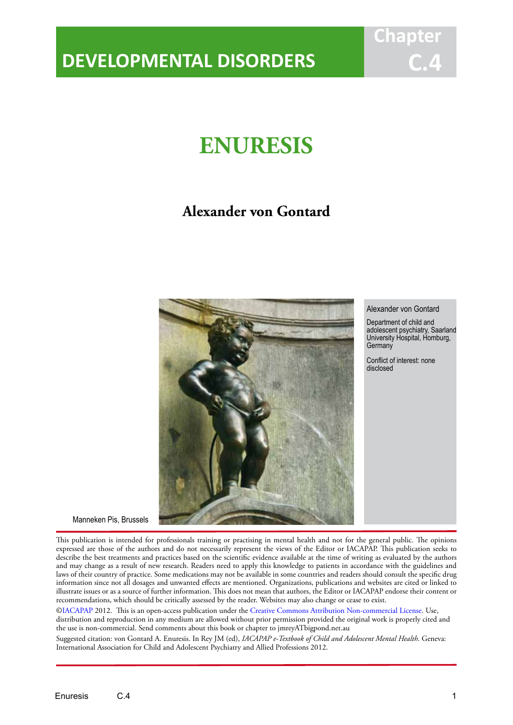# **DEVELOPMENTAL DISORDERS**

# **ENURESIS**

IACAPAP Textbook of Child and Adolescent Mental Health

# **Alexander von Gontard**



Alexander von Gontard

**Chapter** 

**C.4**

Department of child and adolescent psychiatry, Saarland University Hospital, Homburg, **Germany** 

Conflict of interest: none disclosed

Manneken Pis, Brussels

This publication is intended for professionals training or practising in mental health and not for the general public. The opinions expressed are those of the authors and do not necessarily represent the views of the Editor or IACAPAP. This publication seeks to describe the best treatments and practices based on the scientific evidence available at the time of writing as evaluated by the authors and may change as a result of new research. Readers need to apply this knowledge to patients in accordance with the guidelines and laws of their country of practice. Some medications may not be available in some countries and readers should consult the specific drug information since not all dosages and unwanted effects are mentioned. Organizations, publications and websites are cited or linked to illustrate issues or as a source of further information. This does not mean that authors, the Editor or IACAPAP endorse their content or recommendations, which should be critically assessed by the reader. Websites may also change or cease to exist.

[©IACAPAP](http://iacapap.org) 2012. This is an open-access publication under the [Creative Commons Attribution Non-commercial License](http://creativecommons.org). Use, distribution and reproduction in any medium are allowed without prior permission provided the original work is properly cited and the use is non-commercial. Send comments about this book or chapter to jmreyATbigpond.net.au

Suggested citation: von Gontard A. Enuresis. In Rey JM (ed), *IACAPAP e-Textbook of Child and Adolescent Mental Health*. Geneva: International Association for Child and Adolescent Psychiatry and Allied Professions 2012.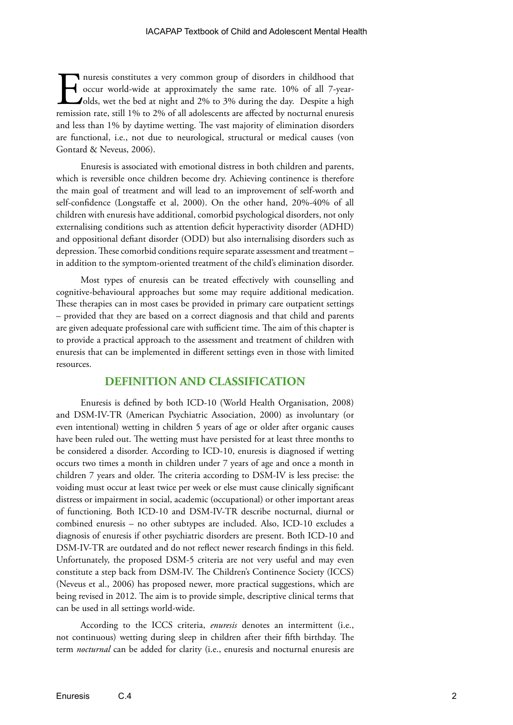I nuresis constitutes a very common group of disorders in childhood that occur world-wide at approximately the same rate. 10% of all 7-year-olds, wet the bed at night and 2% to 3% during the day. Despite a high remission r occur world-wide at approximately the same rate. 10% of all 7-year-Jolds, wet the bed at night and  $2\%$  to  $3\%$  during the day. Despite a high remission rate, still 1% to 2% of all adolescents are affected by nocturnal enuresis and less than 1% by daytime wetting. The vast majority of elimination disorders are functional, i.e., not due to neurological, structural or medical causes (von Gontard & Neveus, 2006).

Enuresis is associated with emotional distress in both children and parents, which is reversible once children become dry. Achieving continence is therefore the main goal of treatment and will lead to an improvement of self-worth and self-confidence (Longstaffe et al, 2000). On the other hand, 20%-40% of all children with enuresis have additional, comorbid psychological disorders, not only externalising conditions such as attention deficit hyperactivity disorder (ADHD) and oppositional defiant disorder (ODD) but also internalising disorders such as depression. These comorbid conditions require separate assessment and treatment – in addition to the symptom-oriented treatment of the child's elimination disorder.

Most types of enuresis can be treated effectively with counselling and cognitive-behavioural approaches but some may require additional medication. These therapies can in most cases be provided in primary care outpatient settings – provided that they are based on a correct diagnosis and that child and parents are given adequate professional care with sufficient time. The aim of this chapter is to provide a practical approach to the assessment and treatment of children with enuresis that can be implemented in different settings even in those with limited resources.

### **DEFINITION AND CLASSIFICATION**

Enuresis is defined by both ICD-10 (World Health Organisation, 2008) and DSM-IV-TR (American Psychiatric Association, 2000) as involuntary (or even intentional) wetting in children 5 years of age or older after organic causes have been ruled out. The wetting must have persisted for at least three months to be considered a disorder. According to ICD-10, enuresis is diagnosed if wetting occurs two times a month in children under 7 years of age and once a month in children 7 years and older. The criteria according to DSM-IV is less precise: the voiding must occur at least twice per week or else must cause clinically significant distress or impairment in social, academic (occupational) or other important areas of functioning. Both ICD-10 and DSM-IV-TR describe nocturnal, diurnal or combined enuresis – no other subtypes are included. Also, ICD-10 excludes a diagnosis of enuresis if other psychiatric disorders are present. Both ICD-10 and DSM-IV-TR are outdated and do not reflect newer research findings in this field. Unfortunately, the proposed DSM-5 criteria are not very useful and may even constitute a step back from DSM-IV. The Children's Continence Society (ICCS) (Neveus et al., 2006) has proposed newer, more practical suggestions, which are being revised in 2012. The aim is to provide simple, descriptive clinical terms that can be used in all settings world-wide.

According to the ICCS criteria, *enuresis* denotes an intermittent (i.e., not continuous) wetting during sleep in children after their fifth birthday. The term *nocturnal* can be added for clarity (i.e., enuresis and nocturnal enuresis are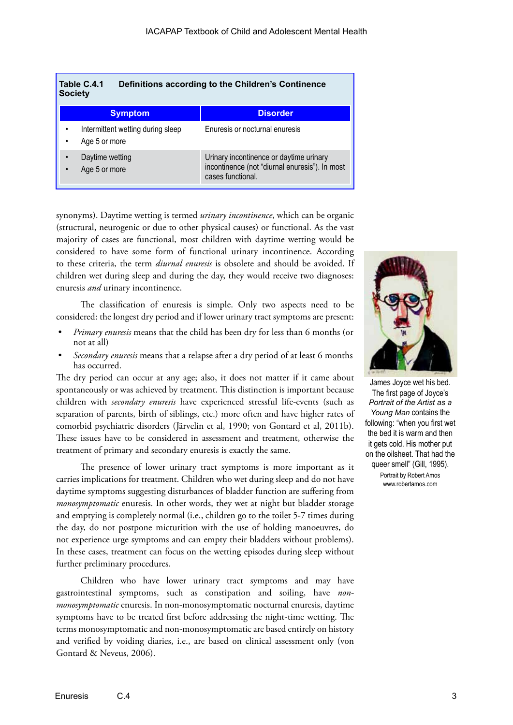| Table C.4.1<br>Definitions according to the Children's Continence<br><b>Society</b> |                                                                                                                |  |  |  |
|-------------------------------------------------------------------------------------|----------------------------------------------------------------------------------------------------------------|--|--|--|
| <b>Symptom</b>                                                                      | <b>Disorder</b>                                                                                                |  |  |  |
| Intermittent wetting during sleep<br>Age 5 or more                                  | Enuresis or nocturnal enuresis                                                                                 |  |  |  |
| Daytime wetting<br>Age 5 or more                                                    | Urinary incontinence or daytime urinary<br>incontinence (not "diurnal enuresis"). In most<br>cases functional. |  |  |  |
|                                                                                     |                                                                                                                |  |  |  |

synonyms). Daytime wetting is termed *urinary incontinence*, which can be organic (structural, neurogenic or due to other physical causes) or functional. As the vast majority of cases are functional, most children with daytime wetting would be considered to have some form of functional urinary incontinence. According to these criteria, the term *diurnal enuresis* is obsolete and should be avoided. If children wet during sleep and during the day, they would receive two diagnoses: enuresis *and* urinary incontinence.

The classification of enuresis is simple. Only two aspects need to be considered: the longest dry period and if lower urinary tract symptoms are present:

- *• Primary enuresis* means that the child has been dry for less than 6 months (or not at all)
- *• Secondary enuresis* means that a relapse after a dry period of at least 6 months has occurred.

The dry period can occur at any age; also, it does not matter if it came about spontaneously or was achieved by treatment. This distinction is important because children with *secondary enuresis* have experienced stressful life-events (such as separation of parents, birth of siblings, etc.) more often and have higher rates of comorbid psychiatric disorders (Järvelin et al, 1990; von Gontard et al, 2011b). These issues have to be considered in assessment and treatment, otherwise the treatment of primary and secondary enuresis is exactly the same.

The presence of lower urinary tract symptoms is more important as it carries implications for treatment. Children who wet during sleep and do not have daytime symptoms suggesting disturbances of bladder function are suffering from *monosymptomatic* enuresis. In other words, they wet at night but bladder storage and emptying is completely normal (i.e., children go to the toilet 5-7 times during the day, do not postpone micturition with the use of holding manoeuvres, do not experience urge symptoms and can empty their bladders without problems). In these cases, treatment can focus on the wetting episodes during sleep without further preliminary procedures.

Children who have lower urinary tract symptoms and may have gastrointestinal symptoms, such as constipation and soiling, have *nonmonosymptomatic* enuresis. In non-monosymptomatic nocturnal enuresis, daytime symptoms have to be treated first before addressing the night-time wetting. The terms monosymptomatic and non-monosymptomatic are based entirely on history and verified by voiding diaries, i.e., are based on clinical assessment only (von Gontard & Neveus, 2006).



James Joyce wet his bed. The first page of Joyce's *Portrait of the Artist as a Young Man* contains the following: "when you first wet the bed it is warm and then it gets cold. His mother put on the oilsheet. That had the queer smell" (Gill, 1995). Portrait by Robert Amos www.robertamos.com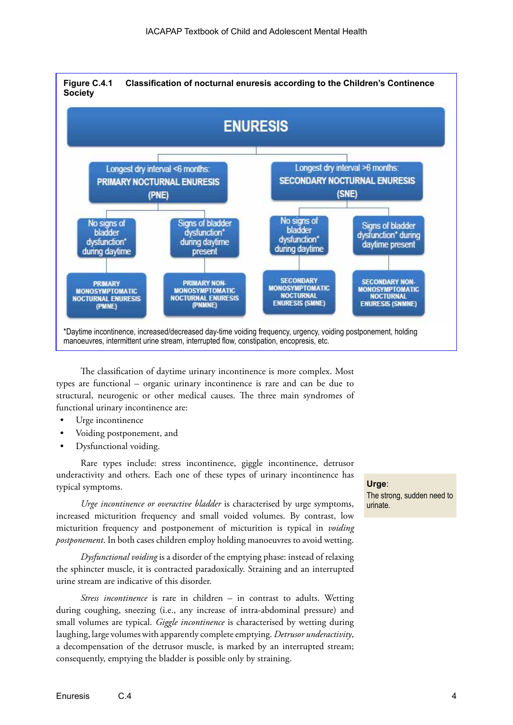

The classification of daytime urinary incontinence is more complex. Most types are functional – organic urinary incontinence is rare and can be due to structural, neurogenic or other medical causes. The three main syndromes of functional urinary incontinence are:

- Urge incontinence
- Voiding postponement, and
- Dysfunctional voiding.

Rare types include: stress incontinence, giggle incontinence, detrusor underactivity and others. Each one of these types of urinary incontinence has typical symptoms.

*Urge incontinence or overactive bladder* is characterised by urge symptoms, increased micturition frequency and small voided volumes. By contrast, low micturition frequency and postponement of micturition is typical in *voiding postponement*. In both cases children employ holding manoeuvres to avoid wetting.

*Dysfunctional voiding* is a disorder of the emptying phase: instead of relaxing the sphincter muscle, it is contracted paradoxically. Straining and an interrupted urine stream are indicative of this disorder.

*Stress incontinence* is rare in children – in contrast to adults. Wetting during coughing, sneezing (i.e., any increase of intra-abdominal pressure) and small volumes are typical. *Giggle incontinence* is characterised by wetting during laughing, large volumes with apparently complete emptying. *Detrusor underactivity*, a decompensation of the detrusor muscle, is marked by an interrupted stream; consequently, emptying the bladder is possible only by straining.

# **Urge**:

The strong, sudden need to urinate.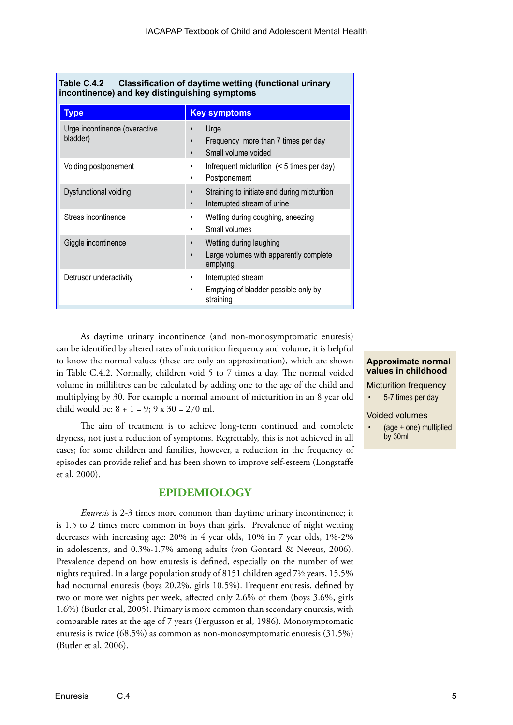| $1800$ $-1.2$ . Oldssmeation of advising wealing panelional dimaily<br>incontinence) and key distinguishing symptoms |                                                                                                         |  |  |  |
|----------------------------------------------------------------------------------------------------------------------|---------------------------------------------------------------------------------------------------------|--|--|--|
| <b>Type</b>                                                                                                          | <b>Key symptoms</b>                                                                                     |  |  |  |
| Urge incontinence (overactive<br>bladder)                                                                            | Urge<br>Frequency more than 7 times per day<br>$\bullet$<br>Small volume voided                         |  |  |  |
| Voiding postponement                                                                                                 | Infrequent micturition $(5 \times 5)$ times per day)<br>٠<br>Postponement<br>٠                          |  |  |  |
| Dysfunctional voiding                                                                                                | Straining to initiate and during micturition<br>Interrupted stream of urine                             |  |  |  |
| Stress incontinence                                                                                                  | Wetting during coughing, sneezing<br>Small volumes<br>٠                                                 |  |  |  |
| Giggle incontinence                                                                                                  | Wetting during laughing<br>$\bullet$<br>Large volumes with apparently complete<br>$\bullet$<br>emptying |  |  |  |
| Detrusor underactivity                                                                                               | Interrupted stream<br>٠<br>Emptying of bladder possible only by<br>٠<br>straining                       |  |  |  |

**Table C.4.2 Classification of daytime wetting (functional urinary** 

As daytime urinary incontinence (and non-monosymptomatic enuresis) can be identified by altered rates of micturition frequency and volume, it is helpful to know the normal values (these are only an approximation), which are shown in Table C.4.2. Normally, children void 5 to 7 times a day. The normal voided volume in millilitres can be calculated by adding one to the age of the child and multiplying by 30. For example a normal amount of micturition in an 8 year old child would be:  $8 + 1 = 9$ ;  $9 \times 30 = 270$  ml.

The aim of treatment is to achieve long-term continued and complete dryness, not just a reduction of symptoms. Regrettably, this is not achieved in all cases; for some children and families, however, a reduction in the frequency of episodes can provide relief and has been shown to improve self-esteem (Longstaffe et al, 2000).

#### **EPIDEMIOLOGY**

*Enuresis* is 2-3 times more common than daytime urinary incontinence; it is 1.5 to 2 times more common in boys than girls. Prevalence of night wetting decreases with increasing age: 20% in 4 year olds, 10% in 7 year olds, 1%-2% in adolescents, and 0.3%-1.7% among adults (von Gontard & Neveus, 2006). Prevalence depend on how enuresis is defined, especially on the number of wet nights required. In a large population study of 8151 children aged 7½ years, 15.5% had nocturnal enuresis (boys 20.2%, girls 10.5%). Frequent enuresis, defined by two or more wet nights per week, affected only 2.6% of them (boys 3.6%, girls 1.6%) (Butler et al, 2005). Primary is more common than secondary enuresis, with comparable rates at the age of 7 years (Fergusson et al, 1986). Monosymptomatic enuresis is twice (68.5%) as common as non-monosymptomatic enuresis (31.5%) (Butler et al, 2006).

#### **Approximate normal values in childhood**

Micturition frequency

5-7 times per day

#### Voided volumes

• (age + one) multiplied by 30ml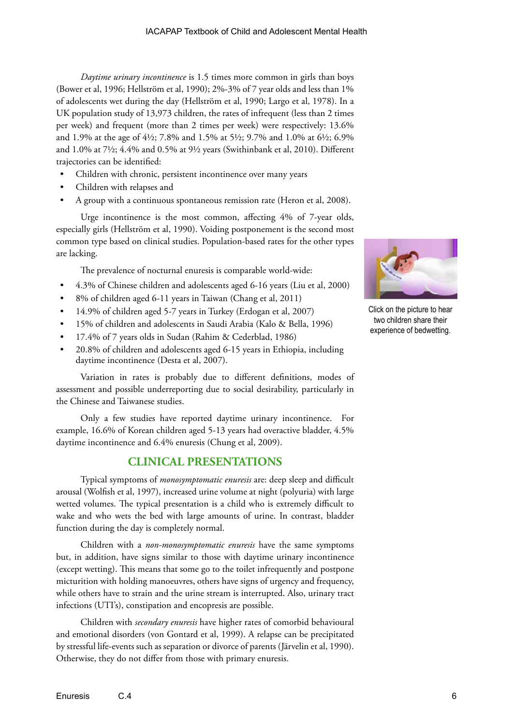*Daytime urinary incontinence* is 1.5 times more common in girls than boys (Bower et al, 1996; Hellström et al, 1990); 2%-3% of 7 year olds and less than 1% of adolescents wet during the day (Hellström et al, 1990; Largo et al, 1978). In a UK population study of 13,973 children, the rates of infrequent (less than 2 times per week) and frequent (more than 2 times per week) were respectively: 13.6% and 1.9% at the age of 4½; 7.8% and 1.5% at 5½; 9.7% and 1.0% at 6½; 6.9% and 1.0% at 7½; 4.4% and 0.5% at 9½ years (Swithinbank et al, 2010). Different trajectories can be identified:

- Children with chronic, persistent incontinence over many years
- Children with relapses and
- A group with a continuous spontaneous remission rate (Heron et al, 2008).

Urge incontinence is the most common, affecting 4% of 7-year olds, especially girls (Hellström et al, 1990). Voiding postponement is the second most common type based on clinical studies. Population-based rates for the other types are lacking.

The prevalence of nocturnal enuresis is comparable world-wide:

- 4.3% of Chinese children and adolescents aged 6-16 years (Liu et al, 2000)
- 8% of children aged 6-11 years in Taiwan (Chang et al, 2011)
- 14.9% of children aged 5-7 years in Turkey (Erdogan et al, 2007)
- 15% of children and adolescents in Saudi Arabia (Kalo & Bella, 1996)
- 17.4% of 7 years olds in Sudan (Rahim & Cederblad, 1986)
- 20.8% of children and adolescents aged 6-15 years in Ethiopia, including daytime incontinence (Desta et al, 2007).

Variation in rates is probably due to different definitions, modes of assessment and possible underreporting due to social desirability, particularly in the Chinese and Taiwanese studies.

Only a few studies have reported daytime urinary incontinence. For example, 16.6% of Korean children aged 5-13 years had overactive bladder, 4.5% daytime incontinence and 6.4% enuresis (Chung et al, 2009).

## **CLINICAL PRESENTATIONS**

Typical symptoms of *monosymptomatic enuresis* are: deep sleep and difficult arousal (Wolfish et al, 1997), increased urine volume at night (polyuria) with large wetted volumes. The typical presentation is a child who is extremely difficult to wake and who wets the bed with large amounts of urine. In contrast, bladder function during the day is completely normal.

Children with a *non-monosymptomatic enuresis* have the same symptoms but, in addition, have signs similar to those with daytime urinary incontinence (except wetting). This means that some go to the toilet infrequently and postpone micturition with holding manoeuvres, others have signs of urgency and frequency, while others have to strain and the urine stream is interrupted. Also, urinary tract infections (UTI's), constipation and encopresis are possible.

Children with *secondary enuresis* have higher rates of comorbid behavioural and emotional disorders (von Gontard et al, 1999). A relapse can be precipitated by stressful life-events such as separation or divorce of parents (Järvelin et al, 1990). Otherwise, they do not differ from those with primary enuresis.



Click on the picture to hear two children share their experience of bedwetting.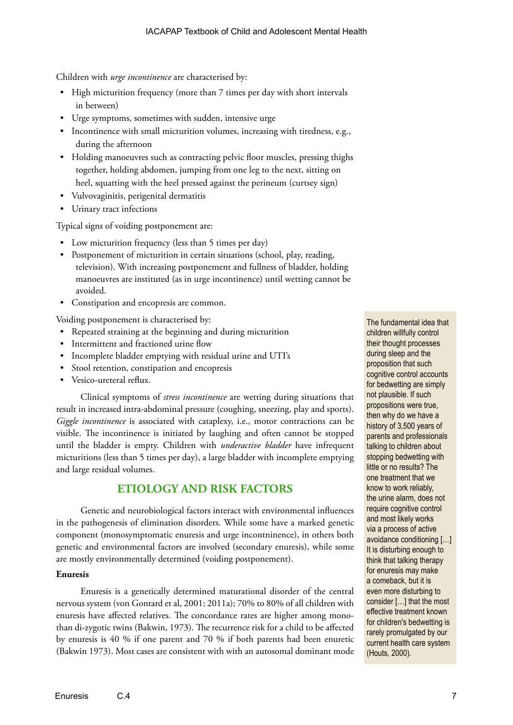Children with *urge incontinence* are characterised by:

- High micturition frequency (more than 7 times per day with short intervals in between)
- Urge symptoms, sometimes with sudden, intensive urge
- Incontinence with small micturition volumes, increasing with tiredness, e.g., during the afternoon
- Holding manoeuvres such as contracting pelvic floor muscles, pressing thighs together, holding abdomen, jumping from one leg to the next, sitting on heel, squatting with the heel pressed against the perineum (curtsey sign)
- Vulvovaginitis, perigenital dermatitis
- Urinary tract infections

Typical signs of voiding postponement are:

- Low micturition frequency (less than 5 times per day)
- Postponement of micturition in certain situations (school, play, reading, television). With increasing postponement and fullness of bladder, holding manoeuvres are instituted (as in urge incontinence) until wetting cannot be avoided.
- Constipation and encopresis are common.

Voiding postponement is characterised by:

- Repeated straining at the beginning and during micturition
- Intermittent and fractioned urine flow
- Incomplete bladder emptying with residual urine and UTI's
- Stool retention, constipation and encopresis
- Vesico-ureteral reflux.

Clinical symptoms of *stress incontinence* are wetting during situations that result in increased intra-abdominal pressure (coughing, sneezing, play and sports). *Giggle incontinence* is associated with cataplexy, i.e., motor contractions can be visible. The incontinence is initiated by laughing and often cannot be stopped until the bladder is empty. Children with *underactive bladder* have infrequent micturitions (less than 5 times per day), a large bladder with incomplete emptying and large residual volumes.

### **ETIOLOGY AND RISK FACTORS**

Genetic and neurobiological factors interact with environmental influences in the pathogenesis of elimination disorders. While some have a marked genetic component (monosymptomatic enuresis and urge incontninence), in others both genetic and environmental factors are involved (secondary enuresis), while some are mostly environmentally determined (voiding postponement).

#### **Enuresis**

Enuresis is a genetically determined maturational disorder of the central nervous system (von Gontard et al, 2001; 2011a); 70% to 80% of all children with enuresis have affected relatives. The concordance rates are higher among monothan di-zygotic twins (Bakwin, 1973). The recurrence risk for a child to be affected by enuresis is 40 % if one parent and 70 % if both parents had been enuretic (Bakwin 1973). Most cases are consistent with with an autosomal dominant mode The fundamental idea that children willfully control their thought processes during sleep and the proposition that such cognitive control accounts for bedwetting are simply not plausible. If such propositions were true, then why do we have a history of 3,500 years of parents and professionals talking to children about stopping bedwetting with little or no results? The one treatment that we know to work reliably, the urine alarm, does not require cognitive control and most likely works via a process of active avoidance conditioning […] It is disturbing enough to think that talking therapy for enuresis may make a comeback, but it is even more disturbing to consider […] that the most effective treatment known for children's bedwetting is rarely promulgated by our current health care system (Houts, 2000).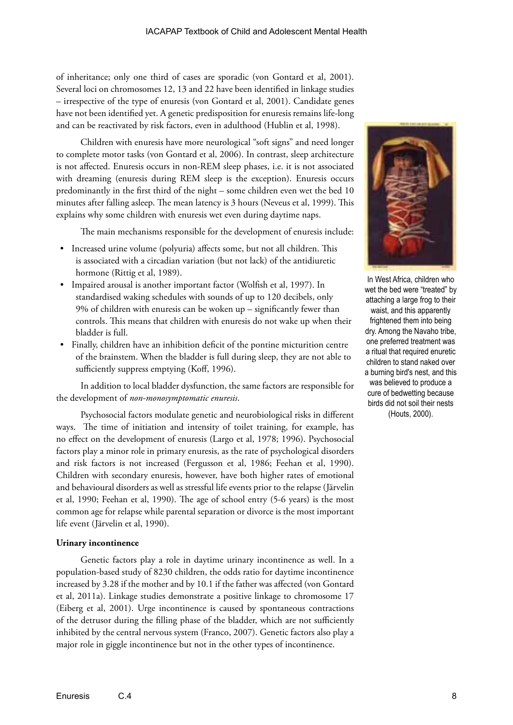of inheritance; only one third of cases are sporadic (von Gontard et al, 2001). Several loci on chromosomes 12, 13 and 22 have been identified in linkage studies – irrespective of the type of enuresis (von Gontard et al, 2001). Candidate genes have not been identified yet. A genetic predisposition for enuresis remains life-long and can be reactivated by risk factors, even in adulthood (Hublin et al, 1998).

Children with enuresis have more neurological "soft signs" and need longer to complete motor tasks (von Gontard et al, 2006). In contrast, sleep architecture is not affected. Enuresis occurs in non-REM sleep phases, i.e. it is not associated with dreaming (enuresis during REM sleep is the exception). Enuresis occurs predominantly in the first third of the night – some children even wet the bed 10 minutes after falling asleep. The mean latency is 3 hours (Neveus et al, 1999). This explains why some children with enuresis wet even during daytime naps.

The main mechanisms responsible for the development of enuresis include:

- Increased urine volume (polyuria) affects some, but not all children. This is associated with a circadian variation (but not lack) of the antidiuretic hormone (Rittig et al, 1989).
- Impaired arousal is another important factor (Wolfish et al, 1997). In standardised waking schedules with sounds of up to 120 decibels, only 9% of children with enuresis can be woken up – significantly fewer than controls. This means that children with enuresis do not wake up when their bladder is full.
- Finally, children have an inhibition deficit of the pontine micturition centre of the brainstem. When the bladder is full during sleep, they are not able to sufficiently suppress emptying (Koff, 1996).

In addition to local bladder dysfunction, the same factors are responsible for the development of *non-monosymptomatic enuresis*.

Psychosocial factors modulate genetic and neurobiological risks in different ways. The time of initiation and intensity of toilet training, for example, has no effect on the development of enuresis (Largo et al, 1978; 1996). Psychosocial factors play a minor role in primary enuresis, as the rate of psychological disorders and risk factors is not increased (Fergusson et al, 1986; Feehan et al, 1990). Children with secondary enuresis, however, have both higher rates of emotional and behavioural disorders as well as stressful life events prior to the relapse (Järvelin et al, 1990; Feehan et al, 1990). The age of school entry (5-6 years) is the most common age for relapse while parental separation or divorce is the most important life event (Järvelin et al, 1990).

#### **Urinary incontinence**

Genetic factors play a role in daytime urinary incontinence as well. In a population-based study of 8230 children, the odds ratio for daytime incontinence increased by 3.28 if the mother and by 10.1 if the father was affected (von Gontard et al, 2011a). Linkage studies demonstrate a positive linkage to chromosome 17 (Eiberg et al, 2001). Urge incontinence is caused by spontaneous contractions of the detrusor during the filling phase of the bladder, which are not sufficiently inhibited by the central nervous system (Franco, 2007). Genetic factors also play a major role in giggle incontinence but not in the other types of incontinence.



In West Africa, children who wet the bed were "treated" by attaching a large frog to their waist, and this apparently

frightened them into being dry. Among the Navaho tribe, one preferred treatment was a ritual that required enuretic children to stand naked over a burning bird's nest, and this was believed to produce a cure of bedwetting because birds did not soil their nests (Houts, 2000).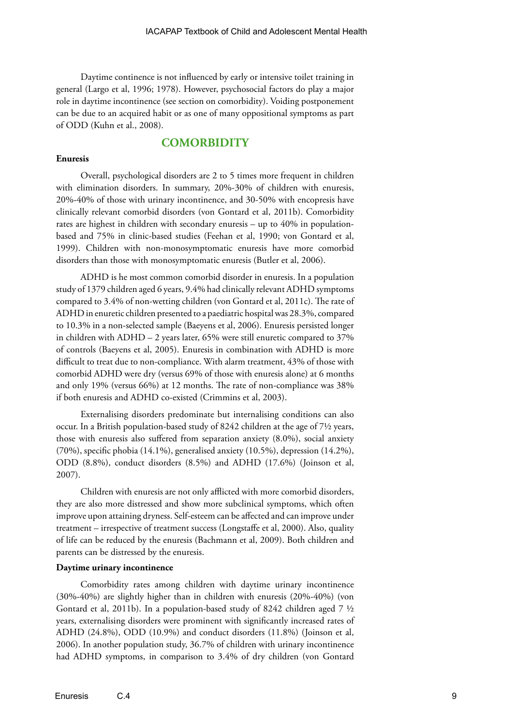Daytime continence is not influenced by early or intensive toilet training in general (Largo et al, 1996; 1978). However, psychosocial factors do play a major role in daytime incontinence (see section on comorbidity). Voiding postponement can be due to an acquired habit or as one of many oppositional symptoms as part of ODD (Kuhn et al., 2008).

#### **COMORBIDITY**

#### **Enuresis**

Overall, psychological disorders are 2 to 5 times more frequent in children with elimination disorders. In summary, 20%-30% of children with enuresis, 20%-40% of those with urinary incontinence, and 30-50% with encopresis have clinically relevant comorbid disorders (von Gontard et al, 2011b). Comorbidity rates are highest in children with secondary enuresis – up to 40% in populationbased and 75% in clinic-based studies (Feehan et al, 1990; von Gontard et al, 1999). Children with non-monosymptomatic enuresis have more comorbid disorders than those with monosymptomatic enuresis (Butler et al, 2006).

ADHD is he most common comorbid disorder in enuresis. In a population study of 1379 children aged 6 years, 9.4% had clinically relevant ADHD symptoms compared to 3.4% of non-wetting children (von Gontard et al, 2011c). The rate of ADHD in enuretic children presented to a paediatric hospital was 28.3%, compared to 10.3% in a non-selected sample (Baeyens et al, 2006). Enuresis persisted longer in children with ADHD – 2 years later, 65% were still enuretic compared to 37% of controls (Baeyens et al, 2005). Enuresis in combination with ADHD is more difficult to treat due to non-compliance. With alarm treatment, 43% of those with comorbid ADHD were dry (versus 69% of those with enuresis alone) at 6 months and only 19% (versus 66%) at 12 months. The rate of non-compliance was 38% if both enuresis and ADHD co-existed (Crimmins et al, 2003).

Externalising disorders predominate but internalising conditions can also occur. In a British population-based study of 8242 children at the age of 7½ years, those with enuresis also suffered from separation anxiety (8.0%), social anxiety (70%), specific phobia (14.1%), generalised anxiety (10.5%), depression (14.2%), ODD (8.8%), conduct disorders (8.5%) and ADHD (17.6%) (Joinson et al, 2007).

Children with enuresis are not only afflicted with more comorbid disorders, they are also more distressed and show more subclinical symptoms, which often improve upon attaining dryness. Self-esteem can be affected and can improve under treatment – irrespective of treatment success (Longstaffe et al, 2000). Also, quality of life can be reduced by the enuresis (Bachmann et al, 2009). Both children and parents can be distressed by the enuresis.

#### **Daytime urinary incontinence**

Comorbidity rates among children with daytime urinary incontinence (30%-40%) are slightly higher than in children with enuresis (20%-40%) (von Gontard et al, 2011b). In a population-based study of 8242 children aged 7 ½ years, externalising disorders were prominent with significantly increased rates of ADHD (24.8%), ODD (10.9%) and conduct disorders (11.8%) (Joinson et al, 2006). In another population study, 36.7% of children with urinary incontinence had ADHD symptoms, in comparison to 3.4% of dry children (von Gontard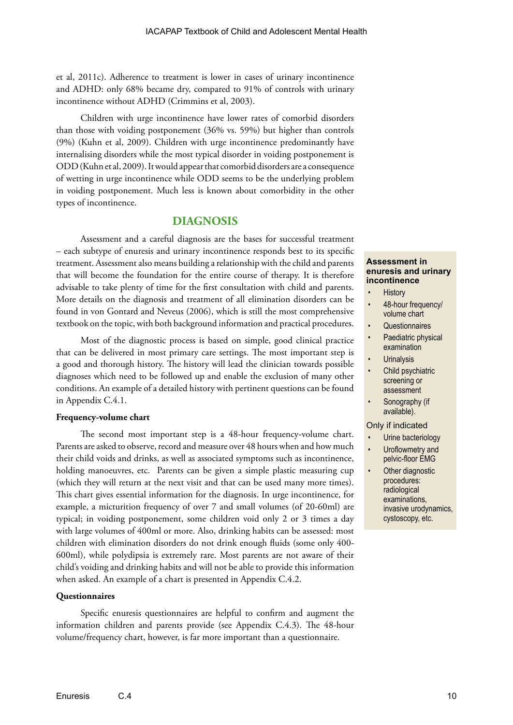et al, 2011c). Adherence to treatment is lower in cases of urinary incontinence and ADHD: only 68% became dry, compared to 91% of controls with urinary incontinence without ADHD (Crimmins et al, 2003).

Children with urge incontinence have lower rates of comorbid disorders than those with voiding postponement (36% vs. 59%) but higher than controls (9%) (Kuhn et al, 2009). Children with urge incontinence predominantly have internalising disorders while the most typical disorder in voiding postponement is ODD (Kuhn et al, 2009). It would appear that comorbid disorders are a consequence of wetting in urge incontinence while ODD seems to be the underlying problem in voiding postponement. Much less is known about comorbidity in the other types of incontinence.

#### **DIAGNOSIS**

Assessment and a careful diagnosis are the bases for successful treatment – each subtype of enuresis and urinary incontinence responds best to its specific treatment. Assessment also means building a relationship with the child and parents that will become the foundation for the entire course of therapy. It is therefore advisable to take plenty of time for the first consultation with child and parents. More details on the diagnosis and treatment of all elimination disorders can be found in von Gontard and Neveus (2006), which is still the most comprehensive textbook on the topic, with both background information and practical procedures.

Most of the diagnostic process is based on simple, good clinical practice that can be delivered in most primary care settings. The most important step is a good and thorough history. The history will lead the clinician towards possible diagnoses which need to be followed up and enable the exclusion of many other conditions. An example of a detailed history with pertinent questions can be found in Appendix C.4.1.

#### **Frequency-volume chart**

The second most important step is a 48-hour frequency-volume chart. Parents are asked to observe, record and measure over 48 hours when and how much their child voids and drinks, as well as associated symptoms such as incontinence, holding manoeuvres, etc. Parents can be given a simple plastic measuring cup (which they will return at the next visit and that can be used many more times). This chart gives essential information for the diagnosis. In urge incontinence, for example, a micturition frequency of over 7 and small volumes (of 20-60ml) are typical; in voiding postponement, some children void only 2 or 3 times a day with large volumes of 400ml or more. Also, drinking habits can be assessed: most children with elimination disorders do not drink enough fluids (some only 400- 600ml), while polydipsia is extremely rare. Most parents are not aware of their child's voiding and drinking habits and will not be able to provide this information when asked. An example of a chart is presented in Appendix C.4.2.

#### **Questionnaires**

Specific enuresis questionnaires are helpful to confirm and augment the information children and parents provide (see Appendix C.4.3). The 48-hour volume/frequency chart, however, is far more important than a questionnaire.

#### **Assessment in enuresis and urinary incontinence**

- **History**
- 48-hour frequency/ volume chart
- **Questionnaires**
- Paediatric physical examination
- **Urinalysis**
- Child psychiatric screening or assessment
- Sonography (if available).

#### Only if indicated

- Urine bacteriology
- Uroflowmetry and pelvic-floor EMG
- Other diagnostic procedures: radiological examinations, invasive urodynamics, cystoscopy, etc.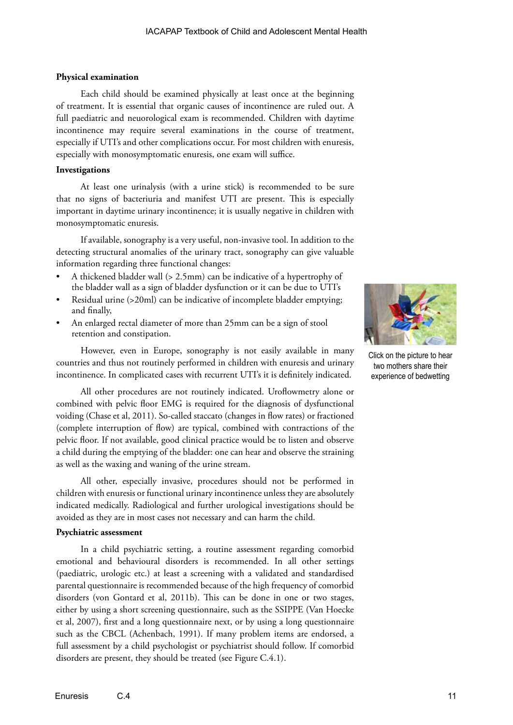#### **Physical examination**

Each child should be examined physically at least once at the beginning of treatment. It is essential that organic causes of incontinence are ruled out. A full paediatric and neuorological exam is recommended. Children with daytime incontinence may require several examinations in the course of treatment, especially if UTI's and other complications occur. For most children with enuresis, especially with monosymptomatic enuresis, one exam will suffice.

#### **Investigations**

At least one urinalysis (with a urine stick) is recommended to be sure that no signs of bacteriuria and manifest UTI are present. This is especially important in daytime urinary incontinence; it is usually negative in children with monosymptomatic enuresis.

If available, sonography is a very useful, non-invasive tool. In addition to the detecting structural anomalies of the urinary tract, sonography can give valuable information regarding three functional changes:

- A thickened bladder wall (> 2.5mm) can be indicative of a hypertrophy of the bladder wall as a sign of bladder dysfunction or it can be due to UTI's
- Residual urine (>20ml) can be indicative of incomplete bladder emptying; and finally,
- An enlarged rectal diameter of more than 25mm can be a sign of stool retention and constipation.

However, even in Europe, sonography is not easily available in many countries and thus not routinely performed in children with enuresis and urinary incontinence. In complicated cases with recurrent UTI's it is definitely indicated.

All other procedures are not routinely indicated. Uroflowmetry alone or combined with pelvic floor EMG is required for the diagnosis of dysfunctional voiding (Chase et al, 2011). So-called staccato (changes in flow rates) or fractioned (complete interruption of flow) are typical, combined with contractions of the pelvic floor. If not available, good clinical practice would be to listen and observe a child during the emptying of the bladder: one can hear and observe the straining as well as the waxing and waning of the urine stream.

All other, especially invasive, procedures should not be performed in children with enuresis or functional urinary incontinence unless they are absolutely indicated medically. Radiological and further urological investigations should be avoided as they are in most cases not necessary and can harm the child.

#### **Psychiatric assessment**

In a child psychiatric setting, a routine assessment regarding comorbid emotional and behavioural disorders is recommended. In all other settings (paediatric, urologic etc.) at least a screening with a validated and standardised parental questionnaire is recommended because of the high frequency of comorbid disorders (von Gontard et al, 2011b). This can be done in one or two stages, either by using a short screening questionnaire, such as the SSIPPE (Van Hoecke et al, 2007), first and a long questionnaire next, or by using a long questionnaire such as the CBCL (Achenbach, 1991). If many problem items are endorsed, a full assessment by a child psychologist or psychiatrist should follow. If comorbid disorders are present, they should be treated (see Figure C.4.1).



Click on the picture to hear two mothers share their experience of bedwetting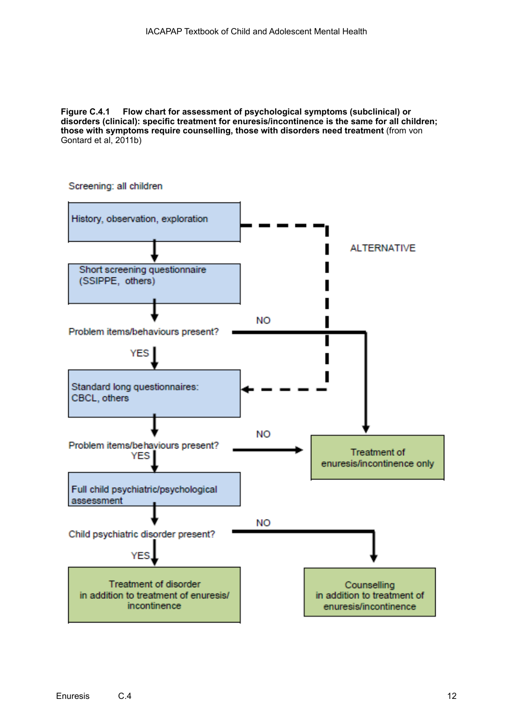**Figure C.4.1 Flow chart for assessment of psychological symptoms (subclinical) or disorders (clinical): specific treatment for enuresis/incontinence is the same for all children; those with symptoms require counselling, those with disorders need treatment** (from von Gontard et al, 2011b)

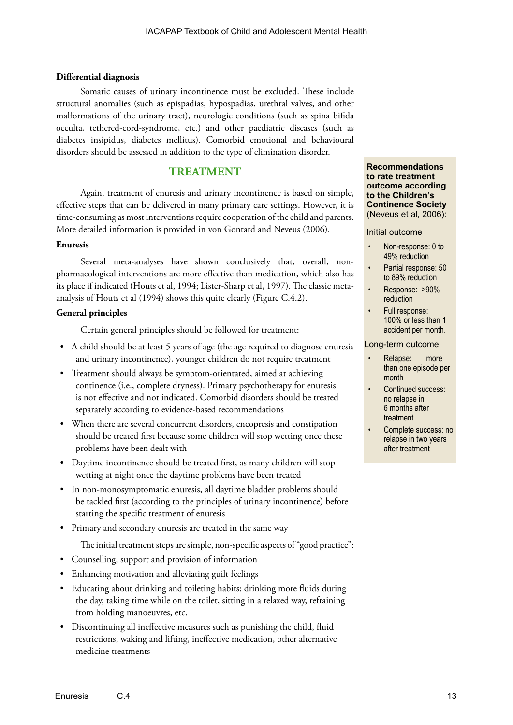#### **Differential diagnosis**

Somatic causes of urinary incontinence must be excluded. These include structural anomalies (such as epispadias, hypospadias, urethral valves, and other malformations of the urinary tract), neurologic conditions (such as spina bifida occulta, tethered-cord-syndrome, etc.) and other paediatric diseases (such as diabetes insipidus, diabetes mellitus). Comorbid emotional and behavioural disorders should be assessed in addition to the type of elimination disorder.

### **TREATMENT**

Again, treatment of enuresis and urinary incontinence is based on simple, effective steps that can be delivered in many primary care settings. However, it is time-consuming as most interventions require cooperation of the child and parents. More detailed information is provided in von Gontard and Neveus (2006).

#### **Enuresis**

Several meta-analyses have shown conclusively that, overall, nonpharmacological interventions are more effective than medication, which also has its place if indicated (Houts et al, 1994; Lister-Sharp et al, 1997). The classic metaanalysis of Houts et al (1994) shows this quite clearly (Figure C.4.2).

#### **General principles**

Certain general principles should be followed for treatment:

- A child should be at least 5 years of age (the age required to diagnose enuresis and urinary incontinence), younger children do not require treatment
- Treatment should always be symptom-orientated, aimed at achieving continence (i.e., complete dryness). Primary psychotherapy for enuresis is not effective and not indicated. Comorbid disorders should be treated separately according to evidence-based recommendations
- When there are several concurrent disorders, encopresis and constipation should be treated first because some children will stop wetting once these problems have been dealt with
- Daytime incontinence should be treated first, as many children will stop wetting at night once the daytime problems have been treated
- In non-monosymptomatic enuresis, all daytime bladder problems should be tackled first (according to the principles of urinary incontinence) before starting the specific treatment of enuresis
- Primary and secondary enuresis are treated in the same way

The initial treatment steps are simple, non-specific aspects of "good practice":

- Counselling, support and provision of information
- Enhancing motivation and alleviating guilt feelings
- Educating about drinking and toileting habits: drinking more fluids during the day, taking time while on the toilet, sitting in a relaxed way, refraining from holding manoeuvres, etc.
- Discontinuing all ineffective measures such as punishing the child, fluid restrictions, waking and lifting, ineffective medication, other alternative medicine treatments

**Recommendations to rate treatment outcome according to the Children's Continence Society**  (Neveus et al, 2006):

#### Initial outcome

- Non-response: 0 to 49% reduction
- Partial response: 50 to 89% reduction
- Response: >90% reduction
- Full response: 100% or less than 1 accident per month.

#### Long-term outcome

- Relapse: more than one episode per month
- Continued success: no relapse in 6 months after treatment
- Complete success: no relapse in two years after treatment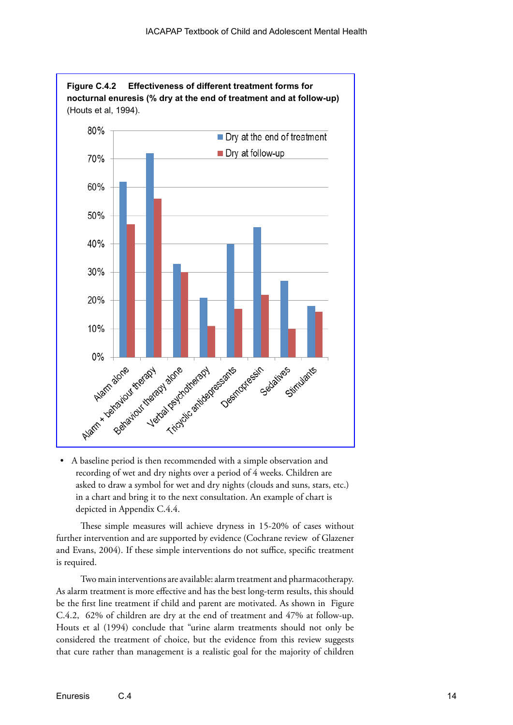

• A baseline period is then recommended with a simple observation and recording of wet and dry nights over a period of 4 weeks. Children are asked to draw a symbol for wet and dry nights (clouds and suns, stars, etc.) in a chart and bring it to the next consultation. An example of chart is depicted in Appendix C.4.4.

These simple measures will achieve dryness in 15-20% of cases without further intervention and are supported by evidence (Cochrane review of Glazener and Evans, 2004). If these simple interventions do not suffice, specific treatment is required.

Two main interventions are available: alarm treatment and pharmacotherapy. As alarm treatment is more effective and has the best long-term results, this should be the first line treatment if child and parent are motivated. As shown in Figure C.4.2, 62% of children are dry at the end of treatment and 47% at follow-up. Houts et al (1994) conclude that "urine alarm treatments should not only be considered the treatment of choice, but the evidence from this review suggests that cure rather than management is a realistic goal for the majority of children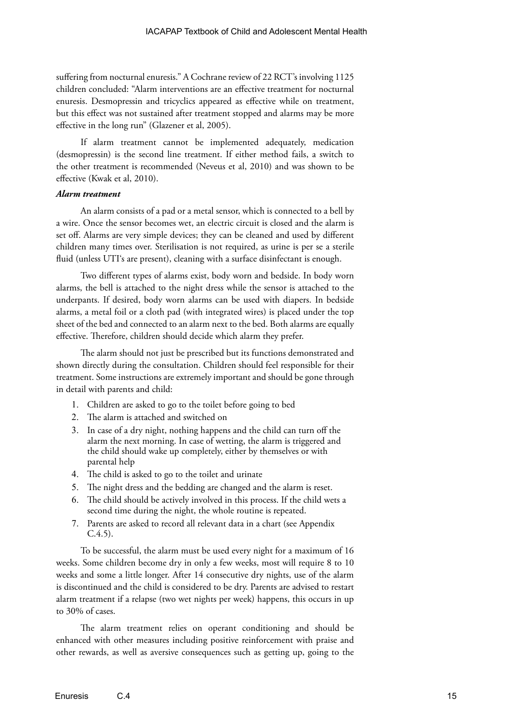suffering from nocturnal enuresis." A Cochrane review of 22 RCT's involving 1125 children concluded: "Alarm interventions are an effective treatment for nocturnal enuresis. Desmopressin and tricyclics appeared as effective while on treatment, but this effect was not sustained after treatment stopped and alarms may be more effective in the long run" (Glazener et al, 2005).

If alarm treatment cannot be implemented adequately, medication (desmopressin) is the second line treatment. If either method fails, a switch to the other treatment is recommended (Neveus et al, 2010) and was shown to be effective (Kwak et al, 2010).

#### *Alarm treatment*

An alarm consists of a pad or a metal sensor, which is connected to a bell by a wire. Once the sensor becomes wet, an electric circuit is closed and the alarm is set off. Alarms are very simple devices; they can be cleaned and used by different children many times over. Sterilisation is not required, as urine is per se a sterile fluid (unless UTI's are present), cleaning with a surface disinfectant is enough.

Two different types of alarms exist, body worn and bedside. In body worn alarms, the bell is attached to the night dress while the sensor is attached to the underpants. If desired, body worn alarms can be used with diapers. In bedside alarms, a metal foil or a cloth pad (with integrated wires) is placed under the top sheet of the bed and connected to an alarm next to the bed. Both alarms are equally effective. Therefore, children should decide which alarm they prefer.

The alarm should not just be prescribed but its functions demonstrated and shown directly during the consultation. Children should feel responsible for their treatment. Some instructions are extremely important and should be gone through in detail with parents and child:

- 1. Children are asked to go to the toilet before going to bed
- 2. The alarm is attached and switched on
- 3. In case of a dry night, nothing happens and the child can turn off the alarm the next morning. In case of wetting, the alarm is triggered and the child should wake up completely, either by themselves or with parental help
- 4. The child is asked to go to the toilet and urinate
- 5. The night dress and the bedding are changed and the alarm is reset.
- 6. The child should be actively involved in this process. If the child wets a second time during the night, the whole routine is repeated.
- 7. Parents are asked to record all relevant data in a chart (see Appendix  $C.4.5$ ).

To be successful, the alarm must be used every night for a maximum of 16 weeks. Some children become dry in only a few weeks, most will require 8 to 10 weeks and some a little longer. After 14 consecutive dry nights, use of the alarm is discontinued and the child is considered to be dry. Parents are advised to restart alarm treatment if a relapse (two wet nights per week) happens, this occurs in up to 30% of cases.

The alarm treatment relies on operant conditioning and should be enhanced with other measures including positive reinforcement with praise and other rewards, as well as aversive consequences such as getting up, going to the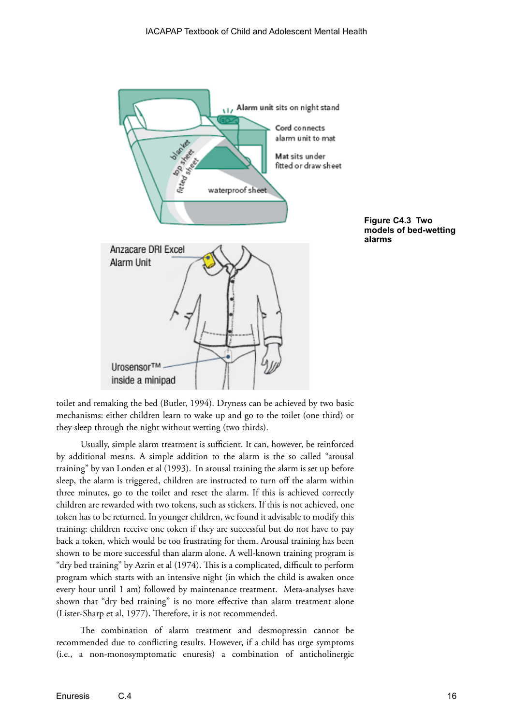

toilet and remaking the bed (Butler, 1994). Dryness can be achieved by two basic mechanisms: either children learn to wake up and go to the toilet (one third) or they sleep through the night without wetting (two thirds).

Usually, simple alarm treatment is sufficient. It can, however, be reinforced by additional means. A simple addition to the alarm is the so called "arousal training" by van Londen et al (1993). In arousal training the alarm is set up before sleep, the alarm is triggered, children are instructed to turn off the alarm within three minutes, go to the toilet and reset the alarm. If this is achieved correctly children are rewarded with two tokens, such as stickers. If this is not achieved, one token has to be returned. In younger children, we found it advisable to modify this training: children receive one token if they are successful but do not have to pay back a token, which would be too frustrating for them. Arousal training has been shown to be more successful than alarm alone. A well-known training program is "dry bed training" by Azrin et al (1974). This is a complicated, difficult to perform program which starts with an intensive night (in which the child is awaken once every hour until 1 am) followed by maintenance treatment. Meta-analyses have shown that "dry bed training" is no more effective than alarm treatment alone (Lister-Sharp et al, 1977). Therefore, it is not recommended.

The combination of alarm treatment and desmopressin cannot be recommended due to conflicting results. However, if a child has urge symptoms (i.e., a non-monosymptomatic enuresis) a combination of anticholinergic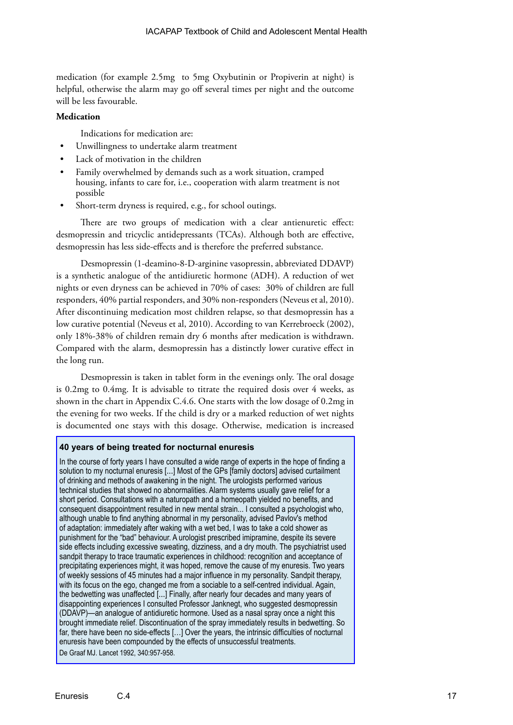medication (for example 2.5mg to 5mg Oxybutinin or Propiverin at night) is helpful, otherwise the alarm may go off several times per night and the outcome will be less favourable.

#### **Medication**

Indications for medication are:

- Unwillingness to undertake alarm treatment
- Lack of motivation in the children
- Family overwhelmed by demands such as a work situation, cramped housing, infants to care for, i.e., cooperation with alarm treatment is not possible
- Short-term dryness is required, e.g., for school outings.

There are two groups of medication with a clear antienuretic effect: desmopressin and tricyclic antidepressants (TCAs). Although both are effective, desmopressin has less side-effects and is therefore the preferred substance.

Desmopressin (1-deamino-8-D-arginine vasopressin, abbreviated DDAVP) is a synthetic analogue of the antidiuretic hormone (ADH). A reduction of wet nights or even dryness can be achieved in 70% of cases: 30% of children are full responders, 40% partial responders, and 30% non-responders (Neveus et al, 2010). After discontinuing medication most children relapse, so that desmopressin has a low curative potential (Neveus et al, 2010). According to van Kerrebroeck (2002), only 18%-38% of children remain dry 6 months after medication is withdrawn. Compared with the alarm, desmopressin has a distinctly lower curative effect in the long run.

Desmopressin is taken in tablet form in the evenings only. The oral dosage is 0.2mg to 0.4mg. It is advisable to titrate the required dosis over 4 weeks, as shown in the chart in Appendix C.4.6. One starts with the low dosage of 0.2mg in the evening for two weeks. If the child is dry or a marked reduction of wet nights is documented one stays with this dosage. Otherwise, medication is increased

#### **40 years of being treated for nocturnal enuresis**

In the course of forty years I have consulted a wide range of experts in the hope of finding a solution to my nocturnal enuresis [...] Most of the GPs [family doctors] advised curtailment of drinking and methods of awakening in the night. The urologists performed various technical studies that showed no abnormalities. Alarm systems usually gave relief for a short period. Consultations with a naturopath and a homeopath yielded no benefits, and consequent disappointment resulted in new mental strain... I consulted a psychologist who, although unable to find anything abnormal in my personality, advised Pavlov's method of adaptation: immediately after waking with a wet bed, I was to take a cold shower as punishment for the "bad" behaviour. A urologist prescribed imipramine, despite its severe side effects including excessive sweating, dizziness, and a dry mouth. The psychiatrist used sandpit therapy to trace traumatic experiences in childhood: recognition and acceptance of precipitating experiences might, it was hoped, remove the cause of my enuresis. Two years of weekly sessions of 45 minutes had a major influence in my personality. Sandpit therapy, with its focus on the ego, changed me from a sociable to a self-centred individual. Again, the bedwetting was unaffected [...] Finally, after nearly four decades and many years of disappointing experiences I consulted Professor Janknegt, who suggested desmopressin (DDAVP)—an analogue of antidiuretic hormone. Used as a nasal spray once a night this brought immediate relief. Discontinuation of the spray immediately results in bedwetting. So far, there have been no side-effects […] Over the years, the intrinsic difficulties of nocturnal enuresis have been compounded by the effects of unsuccessful treatments. De Graaf MJ. Lancet 1992, 340:957-958.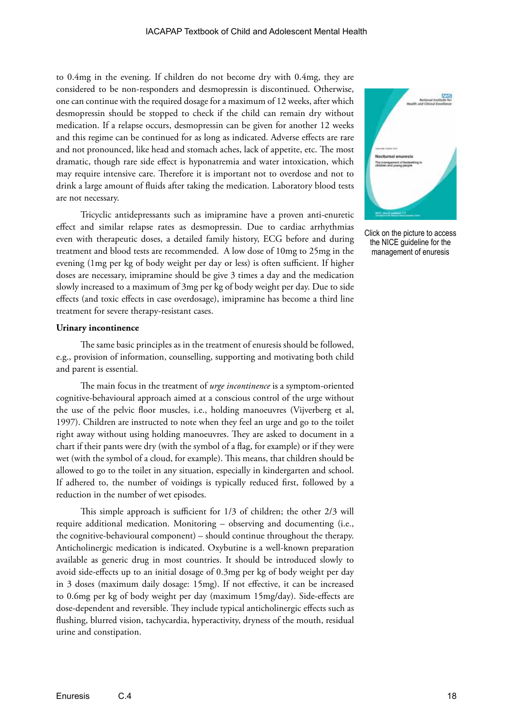to 0.4mg in the evening. If children do not become dry with 0.4mg, they are considered to be non-responders and desmopressin is discontinued. Otherwise, one can continue with the required dosage for a maximum of 12 weeks, after which desmopressin should be stopped to check if the child can remain dry without medication. If a relapse occurs, desmopressin can be given for another 12 weeks and this regime can be continued for as long as indicated. Adverse effects are rare and not pronounced, like head and stomach aches, lack of appetite, etc. The most dramatic, though rare side effect is hyponatremia and water intoxication, which may require intensive care. Therefore it is important not to overdose and not to drink a large amount of fluids after taking the medication. Laboratory blood tests are not necessary.

Tricyclic antidepressants such as imipramine have a proven anti-enuretic effect and similar relapse rates as desmopressin. Due to cardiac arrhythmias even with therapeutic doses, a detailed family history, ECG before and during treatment and blood tests are recommended. A low dose of 10mg to 25mg in the evening (1mg per kg of body weight per day or less) is often sufficient. If higher doses are necessary, imipramine should be give 3 times a day and the medication slowly increased to a maximum of 3mg per kg of body weight per day. Due to side effects (and toxic effects in case overdosage), imipramine has become a third line treatment for severe therapy-resistant cases.

#### **Urinary incontinence**

The same basic principles as in the treatment of enuresis should be followed, e.g., provision of information, counselling, supporting and motivating both child and parent is essential.

The main focus in the treatment of *urge incontinence* is a symptom-oriented cognitive-behavioural approach aimed at a conscious control of the urge without the use of the pelvic floor muscles, i.e., holding manoeuvres (Vijverberg et al, 1997). Children are instructed to note when they feel an urge and go to the toilet right away without using holding manoeuvres. They are asked to document in a chart if their pants were dry (with the symbol of a flag, for example) or if they were wet (with the symbol of a cloud, for example). This means, that children should be allowed to go to the toilet in any situation, especially in kindergarten and school. If adhered to, the number of voidings is typically reduced first, followed by a reduction in the number of wet episodes.

This simple approach is sufficient for 1/3 of children; the other 2/3 will require additional medication. Monitoring – observing and documenting (i.e., the cognitive-behavioural component) – should continue throughout the therapy. Anticholinergic medication is indicated. Oxybutine is a well-known preparation available as generic drug in most countries. It should be introduced slowly to avoid side-effects up to an initial dosage of 0.3mg per kg of body weight per day in 3 doses (maximum daily dosage: 15mg). If not effective, it can be increased to 0.6mg per kg of body weight per day (maximum 15mg/day). Side-effects are dose-dependent and reversible. They include typical anticholinergic effects such as flushing, blurred vision, tachycardia, hyperactivity, dryness of the mouth, residual urine and constipation.



Click on the picture to access the NICE guideline for the management of enuresis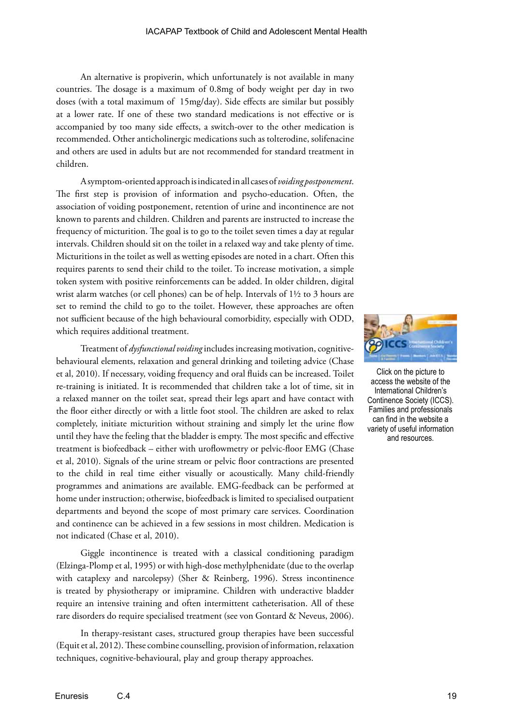An alternative is propiverin, which unfortunately is not available in many countries. The dosage is a maximum of 0.8mg of body weight per day in two doses (with a total maximum of 15mg/day). Side effects are similar but possibly at a lower rate. If one of these two standard medications is not effective or is accompanied by too many side effects, a switch-over to the other medication is recommended. Other anticholinergic medications such as tolterodine, solifenacine and others are used in adults but are not recommended for standard treatment in children.

A symptom-oriented approach is indicated in all cases of *voiding postponement*. The first step is provision of information and psycho-education. Often, the association of voiding postponement, retention of urine and incontinence are not known to parents and children. Children and parents are instructed to increase the frequency of micturition. The goal is to go to the toilet seven times a day at regular intervals. Children should sit on the toilet in a relaxed way and take plenty of time. Micturitions in the toilet as well as wetting episodes are noted in a chart. Often this requires parents to send their child to the toilet. To increase motivation, a simple token system with positive reinforcements can be added. In older children, digital wrist alarm watches (or cell phones) can be of help. Intervals of 1½ to 3 hours are set to remind the child to go to the toilet. However, these approaches are often not sufficient because of the high behavioural comorbidity, especially with ODD, which requires additional treatment.

Treatment of *dysfunctional voiding* includes increasing motivation, cognitivebehavioural elements, relaxation and general drinking and toileting advice (Chase et al, 2010). If necessary, voiding frequency and oral fluids can be increased. Toilet re-training is initiated. It is recommended that children take a lot of time, sit in a relaxed manner on the toilet seat, spread their legs apart and have contact with the floor either directly or with a little foot stool. The children are asked to relax completely, initiate micturition without straining and simply let the urine flow until they have the feeling that the bladder is empty. The most specific and effective treatment is biofeedback – either with uroflowmetry or pelvic-floor EMG (Chase et al, 2010). Signals of the urine stream or pelvic floor contractions are presented to the child in real time either visually or acoustically. Many child-friendly programmes and animations are available. EMG-feedback can be performed at home under instruction; otherwise, biofeedback is limited to specialised outpatient departments and beyond the scope of most primary care services. Coordination and continence can be achieved in a few sessions in most children. Medication is not indicated (Chase et al, 2010).

Giggle incontinence is treated with a classical conditioning paradigm (Elzinga-Plomp et al, 1995) or with high-dose methylphenidate (due to the overlap with cataplexy and narcolepsy) (Sher & Reinberg, 1996). Stress incontinence is treated by physiotherapy or imipramine. Children with underactive bladder require an intensive training and often intermittent catheterisation. All of these rare disorders do require specialised treatment (see von Gontard & Neveus, 2006).

In therapy-resistant cases, structured group therapies have been successful (Equit et al, 2012). These combine counselling, provision of information, relaxation techniques, cognitive-behavioural, play and group therapy approaches.



Click on the picture to access the website of the International Children's Continence Society (ICCS). Families and professionals can find in the website a variety of useful information and resources.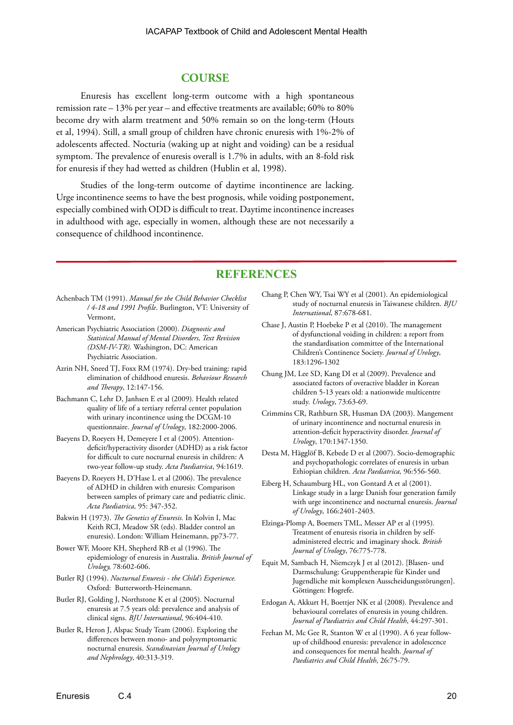#### **COURSE**

Enuresis has excellent long-term outcome with a high spontaneous remission rate – 13% per year – and effective treatments are available; 60% to 80% become dry with alarm treatment and 50% remain so on the long-term (Houts et al, 1994). Still, a small group of children have chronic enuresis with 1%-2% of adolescents affected. Nocturia (waking up at night and voiding) can be a residual symptom. The prevalence of enuresis overall is 1.7% in adults, with an 8-fold risk for enuresis if they had wetted as children (Hublin et al, 1998).

Studies of the long-term outcome of daytime incontinence are lacking. Urge incontinence seems to have the best prognosis, while voiding postponement, especially combined with ODD is difficult to treat. Daytime incontinence increases in adulthood with age, especially in women, although these are not necessarily a consequence of childhood incontinence.

### **REFERENCES**

- Achenbach TM (1991). *Manual for the Child Behavior Checklist / 4-18 and 1991 Profile*. Burlington, VT: University of Vermont,
- American Psychiatric Association (2000). *Diagnostic and Statistical Manual of Mental Disorders, Text Revision (DSM-IV-TR).* Washington, DC: American Psychiatric Association.
- Azrin NH, Sneed TJ, Foxx RM (1974). Dry-bed training: rapid elimination of childhood enuresis. *Behaviour Research and Therapy*, 12:147-156.
- Bachmann C, Lehr D, Janhsen E et al (2009)*.* Health related quality of life of a tertiary referral center population with urinary incontinence using the DCGM-10 questionnaire. *Journal of Urology*, 182:2000-2006.
- Baeyens D, Roeyers H, Demeyere I et al (2005)*.* Attentiondeficit/hyperactivity disorder (ADHD) as a risk factor for difficult to cure nocturnal enuresis in children: A two-year follow-up study. *Acta Paediatrica*, 94:1619.
- Baeyens D, Roeyers H, D'Hase L et al (2006). The prevalence of ADHD in children with enuresis: Comparison between samples of primary care and pediatric clinic. *Acta Paediatrica,* 95: 347-352.
- Bakwin H (1973). *The Genetics of Enuresis.* In Kolvin I, Mac Keith RCI, Meadow SR (eds). Bladder control an enuresis). London: William Heinemann, pp73-77.
- Bower WF, Moore KH, Shepherd RB et al (1996). The epidemiology of enuresis in Australia. *British Journal of Urology,* 78:602-606.
- Butler RJ (1994). *Nocturnal Enuresis the Child's Experience.* Oxford: Butterworth-Heinemann.
- Butler RJ, Golding J, Northstone K et al (2005). Nocturnal enuresis at 7.5 years old: prevalence and analysis of clinical signs. *BJU International*, 96:404-410.
- Butler R, Heron J, Alspac Study Team (2006). Exploring the differences between mono- and polysymptomartic nocturnal enuresis. *Scandinavian Journal of Urology and Nephrology*, 40:313-319.
- Chang P, Chen WY, Tsai WY et al (2001). An epidemiological study of nocturnal enuresis in Taiwanese children. *BJU International*, 87:678-681.
- Chase J, Austin P, Hoebeke P et al (2010). The management of dysfunctional voiding in children: a report from the standardisation committee of the International Children's Continence Society. *Journal of Urology*, 183:1296-1302
- Chung JM, Lee SD, Kang DI et al (2009). Prevalence and associated factors of overactive bladder in Korean children 5-13 years old: a nationwide multicentre study. *Urology*, 73:63-69.
- Crimmins CR, Rathburn SR, Husman DA (2003). Mangement of urinary incontinence and nocturnal enuresis in attention-deficit hyperactivity disorder. *Journal of Urology*, 170:1347-1350.
- Desta M, Hägglöf B, Kebede D et al (2007). Socio-demographic and psychopathologic correlates of enuresis in urban Ethiopian children. *Acta Paediatrica,* 96:556-560.
- Eiberg H, Schaumburg HL, von Gontard A et al (2001). Linkage study in a large Danish four generation family with urge incontinence and nocturnal enuresis. *Journal of Urology*, 166:2401-2403.
- Elzinga-Plomp A, Boemers TML, Messer AP et al (1995)*.* Treatment of enuresis risoria in children by selfadministered electric and imaginary shock. *British Journal of Urology*, 76:775-778.
- Equit M, Sambach H, Niemczyk J et al (2012). [Blasen- und Darmschulung: Gruppentherapie für Kinder und Jugendliche mit komplexen Ausscheidungsstörungen]. Göttingen: Hogrefe.
- Erdogan A, Akkurt H, Boettjer NK et al (2008)*.* Prevalence and behavioural correlates of enuresis in young children. *Journal of Paediatrics and Child Health*, 44:297-301.
- Feehan M, Mc Gee R, Stanton W et al (1990). A 6 year followup of childhood enuresis: prevalence in adolescence and consequences for mental health. *Journal of Paediatrics and Child Health*, 26:75-79.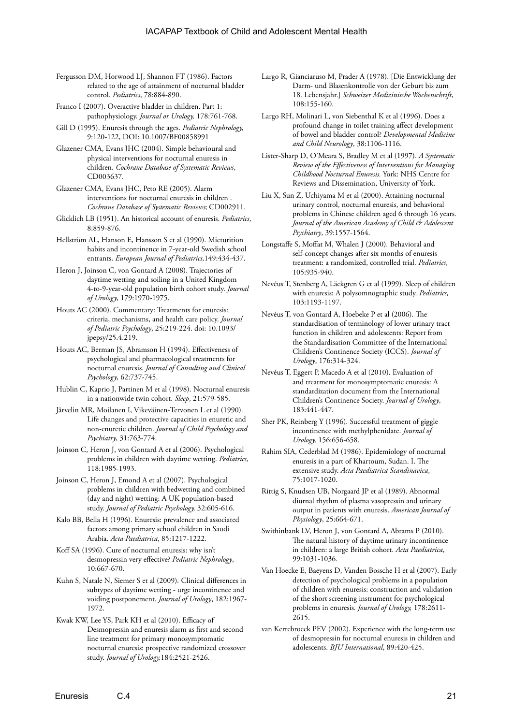- Fergusson DM, Horwood LJ, Shannon FT (1986). Factors related to the age of attainment of nocturnal bladder control. *Pediatrics*, 78:884-890.
- Franco I (2007). Overactive bladder in children. Part 1: pathophysiology. *Journal or Urology,* 178:761-768.
- Gill D (1995). Enuresis through the ages. *Pediatric Nephrology,* 9:120-122, DOI: 10.1007/BF00858991
- Glazener CMA, Evans JHC (2004). Simple behavioural and physical interventions for nocturnal enuresis in children. *Cochrane Database of Systematic Reviews*, CD003637.
- Glazener CMA, Evans JHC, Peto RE (2005). Alarm interventions for nocturnal enuresis in children . *Cochrane Database of Systematic Reviews*; CD002911.
- Glicklich LB (1951). An historical account of enuresis. *Pediatrics*, 8:859-876.
- Hellström AL, Hanson E, Hansson S et al (1990). Micturition habits and incontinence in 7-year-old Swedish school entrants. *European Journal of Pediatrics,*149:434-437.
- Heron J, Joinson C, von Gontard A (2008). Trajectories of daytime wetting and soiling in a United Kingdom 4-to-9-year-old population birth cohort study. *Journal of Urology*, 179:1970-1975.
- Houts AC (2000). Commentary: Treatments for enuresis: criteria, mechanisms, and health care policy. *Journal of Pediatric Psychology*, 25:219-224. doi: 10.1093/ jpepsy/25.4.219.
- Houts AC, Berman JS, Abramson H (1994). Effectiveness of psychological and pharmacological treatments for nocturnal enuresis. *Journal of Consulting and Clinical Psychology*, 62:737-745.
- Hublin C, Kaprio J, Partinen M et al (1998). Nocturnal enuresis in a nationwide twin cohort. *Sleep*, 21:579-585.
- Järvelin MR, Moilanen I, Vikeväinen-Tervonen L et al (1990). Life changes and protective capacities in enuretic and non-enuretic children. *Journal of Child Psychology and Psychiatry*, 31:763-774.
- Joinson C, Heron J, von Gontard A et al (2006). Psychological problems in children with daytime wetting. *Pediatrics,*  118:1985-1993.
- Joinson C, Heron J, Emond A et al (2007). Psychological problems in children with bedwetting and combined (day and night) wetting: A UK population-based study. *Journal of Pediatric Psychology,* 32:605-616.
- Kalo BB, Bella H (1996). Enuresis: prevalence and associated factors among primary school children in Saudi Arabia. *Acta Paediatrica*, 85:1217-1222.
- Koff SA (1996). Cure of nocturnal enuresis: why isn't desmopressin very effective? *Pediatric Nephrology*, 10:667-670.
- Kuhn S, Natale N, Siemer S et al (2009)*.* Clinical differences in subtypes of daytime wetting - urge incontinence and voiding postponement. *Journal of Urology*, 182:1967- 1972.
- Kwak KW, Lee YS, Park KH et al (2010). Efficacy of Desmopressin and enuresis alarm as first and second line treatment for primary monosymptomatic nocturnal enuresis: prospective randomized crossover study. *Journal of Urology,*184:2521-2526.
- Largo R, Gianciaruso M, Prader A (1978). [Die Entwicklung der Darm- und Blasenkontrolle von der Geburt bis zum 18. Lebensjahr.] *Schweizer Medizinische Wochenschrift*, 108:155-160.
- Largo RH, Molinari L, von Siebenthal K et al (1996). Does a profound change in toilet training affect development of bowel and bladder control? *Developmental Medicine and Child Neurology*, 38:1106-1116.
- Lister-Sharp D, O'Meara S, Bradley M et al (1997). *A Systematic Review of the Effectiveness of Interventions for Managing Childhood Nocturnal Enuresis.* York: NHS Centre for Reviews and Dissemination, University of York.
- Liu X, Sun Z, Uchiyama M et al (2000). Attaining nocturnal urinary control, nocturnal enuresis, and behavioral problems in Chinese children aged 6 through 16 years. *Journal of the American Academy of Child & Adolescent Psychiatry*, 39:1557-1564.
- Longstaffe S, Moffat M, Whalen J (2000). Behavioral and self-concept changes after six months of enuresis treatment: a randomized, controlled trial. *Pediatrics*, 105:935-940.
- Nevéus T, Stenberg A, Läckgren G et al (1999)*.* Sleep of children with enuresis: A polysomnographic study. *Pediatrics,*  103:1193-1197.
- Nevéus T, von Gontard A, Hoebeke P et al (2006)*.* The standardisation of terminology of lower urinary tract function in children and adolescents: Report from the Standardisation Committee of the International Children's Continence Society (ICCS). *Journal of Urology*, 176:314-324.
- Nevéus T, Eggert P, Macedo A et al (2010). Evaluation of and treatment for monosymptomatic enuresis: A standardization document from the International Children's Continence Society. *Journal of Urology*, 183:441-447.
- Sher PK, Reinberg Y (1996). Successful treatment of giggle incontinence with methylphenidate. *Journal of Urology,* 156:656-658.
- Rahim SIA, Cederblad M (1986). Epidemiology of nocturnal enuresis in a part of Khartoum, Sudan. I. The extensive study. *Acta Paediatrica Scandinavica*, 75:1017-1020.
- Rittig S, Knudsen UB, Norgaard JP et al (1989). Abnormal diurnal rhythm of plasma vasopressin and urinary output in patients with enuresis. *American Journal of Physiology*, 25:664-671.
- Swithinbank LV, Heron J, von Gontard A, Abrams P (2010). The natural history of daytime urinary incontinence in children: a large British cohort. *Acta Paediatrica*, 99:1031-1036.
- Van Hoecke E, Baeyens D, Vanden Bossche H et al (2007). Early detection of psychological problems in a population of children with enuresis: construction and validation of the short screening instrument for psychological problems in enuresis. *Journal of Urology,* 178:2611- 2615.
- van Kerrebroeck PEV (2002). Experience with the long-term use of desmopressin for nocturnal enuresis in children and adolescents. *BJU International*, 89:420-425.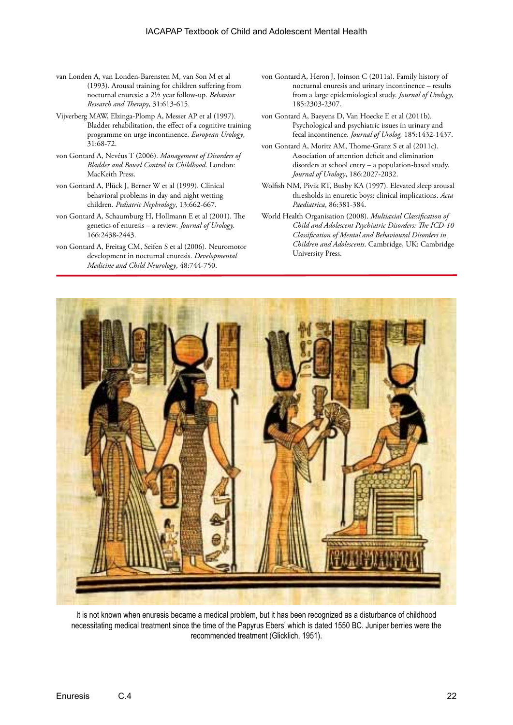- van Londen A, van Londen-Barensten M, van Son M et al (1993). Arousal training for children suffering from nocturnal enuresis: a 2½ year follow-up. *Behavior Research and Therapy*, 31:613-615.
- Vijverberg MAW, Elzinga-Plomp A, Messer AP et al (1997)*.* Bladder rehabilitation, the effect of a cognitive training programme on urge incontinence. *European Urology*, 31:68-72.
- von Gontard A, Nevéus T (2006). *Management of Disorders of Bladder and Bowel Control in Childhood*. London: MacKeith Press.
- von Gontard A, Plück J, Berner W et al (1999). Clinical behavioral problems in day and night wetting children. *Pediatric Nephrology*, 13:662-667.
- von Gontard A, Schaumburg H, Hollmann E et al (2001)*.* The genetics of enuresis – a review*. Journal of Urology,*  166:2438-2443.
- von Gontard A, Freitag CM, Seifen S et al (2006)*.* Neuromotor development in nocturnal enuresis. *Developmental Medicine and Child Neurology*, 48:744-750.
- von GontardA, Heron J, Joinson C (2011a). Family history of nocturnal enuresis and urinary incontinence – results from a large epidemiological study. *Journal of Urology*, 185:2303-2307.
- von Gontard A, Baeyens D, Van Hoecke E et al (2011b)*.*  Psychological and psychiatric issues in urinary and fecal incontinence. *Journal of Urolog,* 185:1432-1437.
- von Gontard A, Moritz AM, Thome-Granz S et al (2011c). Association of attention deficit and elimination disorders at school entry – a population-based study. *Journal of Urology*, 186:2027-2032.
- Wolfish NM, Pivik RT, Busby KA (1997). Elevated sleep arousal thresholds in enuretic boys: clinical implications. *Acta Paediatrica*, 86:381-384.
- World Health Organisation (2008). *Multiaxial Classification of Child and Adolescent Psychiatric Disorders: The ICD-10 Classification of Mental and Behavioural Disorders in Children and Adolescents*. Cambridge, UK: Cambridge University Press.



It is not known when enuresis became a medical problem, but it has been recognized as a disturbance of childhood necessitating medical treatment since the time of the Papyrus Ebers' which is dated 1550 BC. Juniper berries were the recommended treatment (Glicklich, 1951).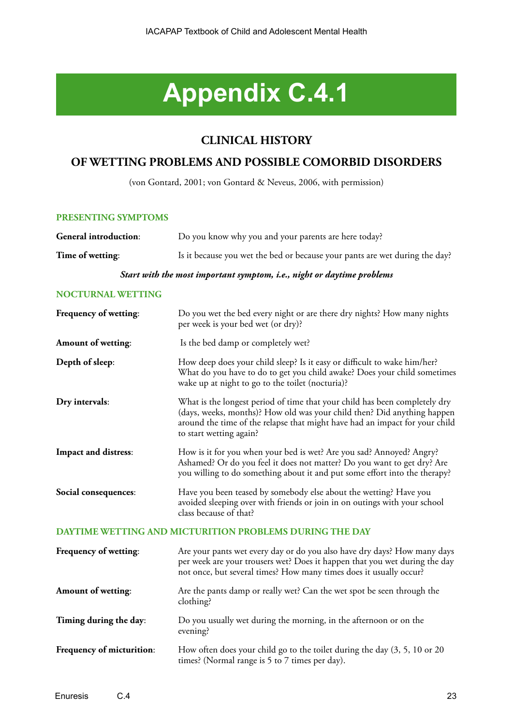# **CLINICAL HISTORY**

## **OF WETTING PROBLEMS AND POSSIBLE COMORBID DISORDERS**

(von Gontard, 2001; von Gontard & Neveus, 2006, with permission)

#### **PRESENTING SYMPTOMS**

| <b>General introduction:</b> | Do you know why you and your parents are here today?                        |
|------------------------------|-----------------------------------------------------------------------------|
| Time of wetting:             | Is it because you wet the bed or because your pants are wet during the day? |

#### *Start with the most important symptom, i.e., night or daytime problems*

#### **NOCTURNAL WETTING**

| Frequency of wetting:     | Do you wet the bed every night or are there dry nights? How many nights<br>per week is your bed wet (or dry)?                                                                                                                                                   |  |  |  |
|---------------------------|-----------------------------------------------------------------------------------------------------------------------------------------------------------------------------------------------------------------------------------------------------------------|--|--|--|
| Amount of wetting:        | Is the bed damp or completely wet?                                                                                                                                                                                                                              |  |  |  |
| Depth of sleep:           | How deep does your child sleep? Is it easy or difficult to wake him/her?<br>What do you have to do to get you child awake? Does your child sometimes<br>wake up at night to go to the toilet (nocturia)?                                                        |  |  |  |
| Dry intervals:            | What is the longest period of time that your child has been completely dry<br>(days, weeks, months)? How old was your child then? Did anything happen<br>around the time of the relapse that might have had an impact for your child<br>to start wetting again? |  |  |  |
| Impact and distress:      | How is it for you when your bed is wet? Are you sad? Annoyed? Angry?<br>Ashamed? Or do you feel it does not matter? Do you want to get dry? Are<br>you willing to do something about it and put some effort into the therapy?                                   |  |  |  |
| Social consequences:      | Have you been teased by somebody else about the wetting? Have you<br>avoided sleeping over with friends or join in on outings with your school<br>class because of that?                                                                                        |  |  |  |
|                           | DAYTIME WETTING AND MICTURITION PROBLEMS DURING THE DAY                                                                                                                                                                                                         |  |  |  |
| Frequency of wetting:     | Are your pants wet every day or do you also have dry days? How many days<br>per week are your trousers wet? Does it happen that you wet during the day<br>not once, but several times? How many times does it usually occur?                                    |  |  |  |
| Amount of wetting:        | Are the pants damp or really wet? Can the wet spot be seen through the<br>clothing?                                                                                                                                                                             |  |  |  |
| Timing during the day:    | Do you usually wet during the morning, in the afternoon or on the<br>evening?                                                                                                                                                                                   |  |  |  |
| Frequency of micturition: | How often does your child go to the toilet during the day (3, 5, 10 or 20<br>times? (Normal range is 5 to 7 times per day).                                                                                                                                     |  |  |  |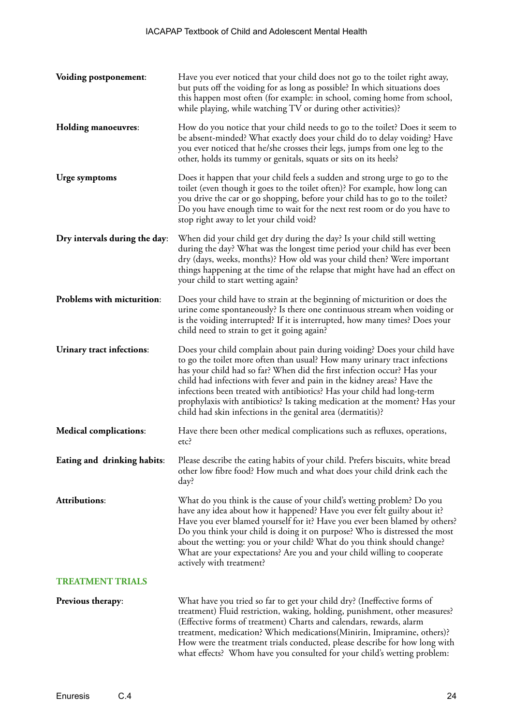| <b>Voiding postponement:</b>  | Have you ever noticed that your child does not go to the toilet right away,<br>but puts off the voiding for as long as possible? In which situations does<br>this happen most often (for example: in school, coming home from school,<br>while playing, while watching TV or during other activities)?                                                                                                                                                                                                                            |  |  |
|-------------------------------|-----------------------------------------------------------------------------------------------------------------------------------------------------------------------------------------------------------------------------------------------------------------------------------------------------------------------------------------------------------------------------------------------------------------------------------------------------------------------------------------------------------------------------------|--|--|
| <b>Holding manoeuvres:</b>    | How do you notice that your child needs to go to the toilet? Does it seem to<br>be absent-minded? What exactly does your child do to delay voiding? Have<br>you ever noticed that he/she crosses their legs, jumps from one leg to the<br>other, holds its tummy or genitals, squats or sits on its heels?                                                                                                                                                                                                                        |  |  |
| Urge symptoms                 | Does it happen that your child feels a sudden and strong urge to go to the<br>toilet (even though it goes to the toilet often)? For example, how long can<br>you drive the car or go shopping, before your child has to go to the toilet?<br>Do you have enough time to wait for the next rest room or do you have to<br>stop right away to let your child void?                                                                                                                                                                  |  |  |
| Dry intervals during the day: | When did your child get dry during the day? Is your child still wetting<br>during the day? What was the longest time period your child has ever been<br>dry (days, weeks, months)? How old was your child then? Were important<br>things happening at the time of the relapse that might have had an effect on<br>your child to start wetting again?                                                                                                                                                                              |  |  |
| Problems with micturition:    | Does your child have to strain at the beginning of micturition or does the<br>urine come spontaneously? Is there one continuous stream when voiding or<br>is the voiding interrupted? If it is interrupted, how many times? Does your<br>child need to strain to get it going again?                                                                                                                                                                                                                                              |  |  |
| Urinary tract infections:     | Does your child complain about pain during voiding? Does your child have<br>to go the toilet more often than usual? How many urinary tract infections<br>has your child had so far? When did the first infection occur? Has your<br>child had infections with fever and pain in the kidney areas? Have the<br>infections been treated with antibiotics? Has your child had long-term<br>prophylaxis with antibiotics? Is taking medication at the moment? Has your<br>child had skin infections in the genital area (dermatitis)? |  |  |
| <b>Medical complications:</b> | Have there been other medical complications such as refluxes, operations,<br>etc?                                                                                                                                                                                                                                                                                                                                                                                                                                                 |  |  |
| Eating and drinking habits:   | Please describe the eating habits of your child. Prefers biscuits, white bread<br>other low fibre food? How much and what does your child drink each the<br>day?                                                                                                                                                                                                                                                                                                                                                                  |  |  |
| <b>Attributions:</b>          | What do you think is the cause of your child's wetting problem? Do you<br>have any idea about how it happened? Have you ever felt guilty about it?<br>Have you ever blamed yourself for it? Have you ever been blamed by others?<br>Do you think your child is doing it on purpose? Who is distressed the most<br>about the wetting: you or your child? What do you think should change?<br>What are your expectations? Are you and your child willing to cooperate<br>actively with treatment?                                   |  |  |
| <b>TREATMENT TRIALS</b>       |                                                                                                                                                                                                                                                                                                                                                                                                                                                                                                                                   |  |  |
| Previous therapy:             | What have you tried so far to get your child dry? (Ineffective forms of<br>treatment) Fluid restriction, waking, holding, punishment, other measures?<br>(Effective forms of treatment) Charts and calendars, rewards, alarm<br>treatment, medication? Which medications (Minirin, Imipramine, others)?<br>How were the treatment trials conducted, please describe for how long with<br>what effects? Whom have you consulted for your child's wetting problem:                                                                  |  |  |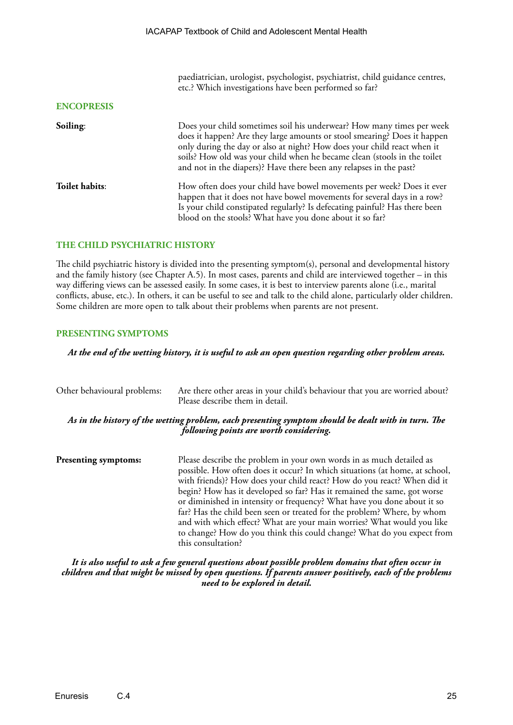|                   | paediatrician, urologist, psychologist, psychiatrist, child guidance centres,<br>etc.? Which investigations have been performed so far?                                                                                                                                                                                                                                        |  |  |
|-------------------|--------------------------------------------------------------------------------------------------------------------------------------------------------------------------------------------------------------------------------------------------------------------------------------------------------------------------------------------------------------------------------|--|--|
| <b>ENCOPRESIS</b> |                                                                                                                                                                                                                                                                                                                                                                                |  |  |
| Soiling:          | Does your child sometimes soil his underwear? How many times per week<br>does it happen? Are they large amounts or stool smearing? Does it happen<br>only during the day or also at night? How does your child react when it<br>soils? How old was your child when he became clean (stools in the toilet<br>and not in the diapers)? Have there been any relapses in the past? |  |  |
| Toilet habits:    | How often does your child have bowel movements per week? Does it ever<br>happen that it does not have bowel movements for several days in a row?<br>Is your child constipated regularly? Is defecating painful? Has there been<br>blood on the stools? What have you done about it so far?                                                                                     |  |  |

#### **THE CHILD PSYCHIATRIC HISTORY**

The child psychiatric history is divided into the presenting symptom(s), personal and developmental history and the family history (see Chapter A.5). In most cases, parents and child are interviewed together – in this way differing views can be assessed easily. In some cases, it is best to interview parents alone (i.e., marital conflicts, abuse, etc.). In others, it can be useful to see and talk to the child alone, particularly older children. Some children are more open to talk about their problems when parents are not present.

#### **PRESENTING SYMPTOMS**

*At the end of the wetting history, it is useful to ask an open question regarding other problem areas.*

| Other behavioural problems: | Are there other areas in your child's behaviour that you are worried about?<br>Please describe them in detail.                                                                                                                                                                                                                                                                                                                                                                                                                                                                                                                            |  |  |
|-----------------------------|-------------------------------------------------------------------------------------------------------------------------------------------------------------------------------------------------------------------------------------------------------------------------------------------------------------------------------------------------------------------------------------------------------------------------------------------------------------------------------------------------------------------------------------------------------------------------------------------------------------------------------------------|--|--|
|                             | As in the history of the wetting problem, each presenting symptom should be dealt with in turn. The<br>following points are worth considering.                                                                                                                                                                                                                                                                                                                                                                                                                                                                                            |  |  |
| <b>Presenting symptoms:</b> | Please describe the problem in your own words in as much detailed as<br>possible. How often does it occur? In which situations (at home, at school,<br>with friends)? How does your child react? How do you react? When did it<br>begin? How has it developed so far? Has it remained the same, got worse<br>or diminished in intensity or frequency? What have you done about it so<br>far? Has the child been seen or treated for the problem? Where, by whom<br>and with which effect? What are your main worries? What would you like<br>to change? How do you think this could change? What do you expect from<br>this consultation? |  |  |

*It is also useful to ask a few general questions about possible problem domains that often occur in children and that might be missed by open questions. If parents answer positively, each of the problems need to be explored in detail.*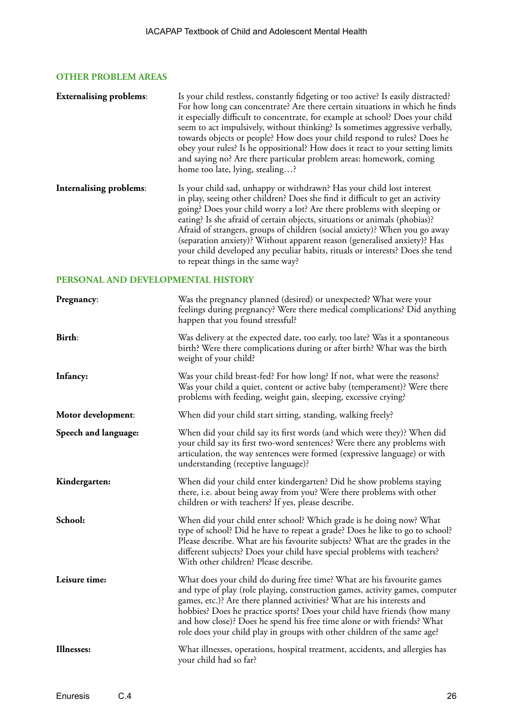### **OTHER PROBLEM AREAS**

| <b>Externalising problems:</b> | Is your child restless, constantly fidgeting or too active? Is easily distracted?<br>For how long can concentrate? Are there certain situations in which he finds<br>it especially difficult to concentrate, for example at school? Does your child<br>seem to act impulsively, without thinking? Is sometimes aggressive verbally,<br>towards objects or people? How does your child respond to rules? Does he<br>obey your rules? Is he oppositional? How does it react to your setting limits<br>and saying no? Are there particular problem areas: homework, coming<br>home too late, lying, stealing? |  |
|--------------------------------|------------------------------------------------------------------------------------------------------------------------------------------------------------------------------------------------------------------------------------------------------------------------------------------------------------------------------------------------------------------------------------------------------------------------------------------------------------------------------------------------------------------------------------------------------------------------------------------------------------|--|
| <b>Internalising problems:</b> | Is your child sad, unhappy or withdrawn? Has your child lost interest<br>in play, seeing other children? Does she find it difficult to get an activity<br>going? Does your child worry a lot? Are there problems with sleeping or<br>eating? Is she afraid of certain objects, situations or animals (phobias)?<br>Afraid of strangers, groups of children (social anxiety)? When you go away<br>(separation anxiety)? Without apparent reason (generalised anxiety)? Has<br>your child developed any peculiar habits, rituals or interests? Does she tend<br>to repeat things in the same way?            |  |

#### **PERSONAL AND DEVELOPMENTAL HISTORY**

| Pregnancy:           | Was the pregnancy planned (desired) or unexpected? What were your<br>feelings during pregnancy? Were there medical complications? Did anything<br>happen that you found stressful?                                                                                                                                                                                                                                                                                  |  |  |
|----------------------|---------------------------------------------------------------------------------------------------------------------------------------------------------------------------------------------------------------------------------------------------------------------------------------------------------------------------------------------------------------------------------------------------------------------------------------------------------------------|--|--|
| Birth:               | Was delivery at the expected date, too early, too late? Was it a spontaneous<br>birth? Were there complications during or after birth? What was the birth<br>weight of your child?                                                                                                                                                                                                                                                                                  |  |  |
| Infancy:             | Was your child breast-fed? For how long? If not, what were the reasons?<br>Was your child a quiet, content or active baby (temperament)? Were there<br>problems with feeding, weight gain, sleeping, excessive crying?                                                                                                                                                                                                                                              |  |  |
| Motor development:   | When did your child start sitting, standing, walking freely?                                                                                                                                                                                                                                                                                                                                                                                                        |  |  |
| Speech and language: | When did your child say its first words (and which were they)? When did<br>your child say its first two-word sentences? Were there any problems with<br>articulation, the way sentences were formed (expressive language) or with<br>understanding (receptive language)?                                                                                                                                                                                            |  |  |
| Kindergarten:        | When did your child enter kindergarten? Did he show problems staying<br>there, i.e. about being away from you? Were there problems with other<br>children or with teachers? If yes, please describe.                                                                                                                                                                                                                                                                |  |  |
| School:              | When did your child enter school? Which grade is he doing now? What<br>type of school? Did he have to repeat a grade? Does he like to go to school?<br>Please describe. What are his favourite subjects? What are the grades in the<br>different subjects? Does your child have special problems with teachers?<br>With other children? Please describe.                                                                                                            |  |  |
| Leisure time:        | What does your child do during free time? What are his favourite games<br>and type of play (role playing, construction games, activity games, computer<br>games, etc.)? Are there planned activities? What are his interests and<br>hobbies? Does he practice sports? Does your child have friends (how many<br>and how close)? Does he spend his free time alone or with friends? What<br>role does your child play in groups with other children of the same age? |  |  |
| <b>Illnesses:</b>    | What illnesses, operations, hospital treatment, accidents, and allergies has<br>your child had so far?                                                                                                                                                                                                                                                                                                                                                              |  |  |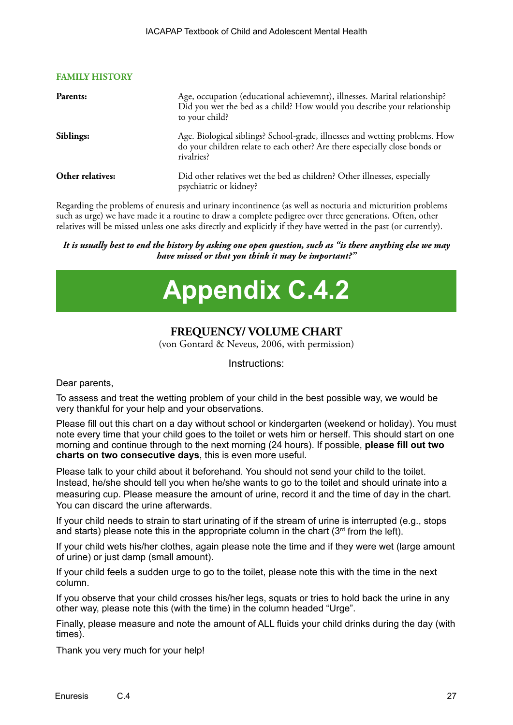#### **FAMILY HISTORY**

| Parents:         | Age, occupation (educational achievemnt), illnesses. Marital relationship?<br>Did you wet the bed as a child? How would you describe your relationship<br>to your child? |
|------------------|--------------------------------------------------------------------------------------------------------------------------------------------------------------------------|
| Siblings:        | Age. Biological siblings? School-grade, illnesses and wetting problems. How<br>do your children relate to each other? Are there especially close bonds or<br>rivalries?  |
| Other relatives: | Did other relatives wet the bed as children? Other illnesses, especially<br>psychiatric or kidney?                                                                       |

Regarding the problems of enuresis and urinary incontinence (as well as nocturia and micturition problems such as urge) we have made it a routine to draw a complete pedigree over three generations. Often, other relatives will be missed unless one asks directly and explicitly if they have wetted in the past (or currently).

*It is usually best to end the history by asking one open question, such as "is there anything else we may have missed or that you think it may be important?"*

# **Appendix C.4.2**

## **FREQUENCY/ VOLUME CHART**

(von Gontard & Neveus, 2006, with permission)

Instructions:

Dear parents,

To assess and treat the wetting problem of your child in the best possible way, we would be very thankful for your help and your observations.

Please fill out this chart on a day without school or kindergarten (weekend or holiday). You must note every time that your child goes to the toilet or wets him or herself. This should start on one morning and continue through to the next morning (24 hours). If possible, **please fill out two charts on two consecutive days**, this is even more useful.

Please talk to your child about it beforehand. You should not send your child to the toilet. Instead, he/she should tell you when he/she wants to go to the toilet and should urinate into a measuring cup. Please measure the amount of urine, record it and the time of day in the chart. You can discard the urine afterwards.

If your child needs to strain to start urinating of if the stream of urine is interrupted (e.g., stops and starts) please note this in the appropriate column in the chart  $(3<sup>rd</sup>$  from the left).

If your child wets his/her clothes, again please note the time and if they were wet (large amount of urine) or just damp (small amount).

If your child feels a sudden urge to go to the toilet, please note this with the time in the next column.

If you observe that your child crosses his/her legs, squats or tries to hold back the urine in any other way, please note this (with the time) in the column headed "Urge".

Finally, please measure and note the amount of ALL fluids your child drinks during the day (with times).

Thank you very much for your help!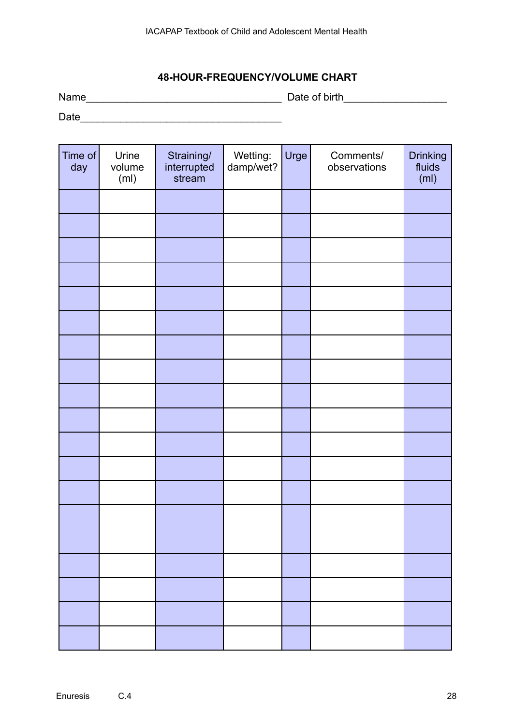# **48-HOUR-FREQUENCY/VOLUME CHART**

Name\_\_\_\_\_\_\_\_\_\_\_\_\_\_\_\_\_\_\_\_\_\_\_\_\_\_\_\_\_\_\_\_\_\_ Date of birth\_\_\_\_\_\_\_\_\_\_\_\_\_\_\_\_\_\_

Date\_\_\_\_\_\_\_\_\_\_\_\_\_\_\_\_\_\_\_\_\_\_\_\_\_\_\_\_\_\_\_\_\_\_\_

| Time of<br>day | Urine<br>volume<br>(m <sub>l</sub> ) | Straining/<br>interrupted<br>stream | Wetting:<br>damp/wet? | Urge | Comments/<br>observations | Drinking<br>fluids<br>(ml) |
|----------------|--------------------------------------|-------------------------------------|-----------------------|------|---------------------------|----------------------------|
|                |                                      |                                     |                       |      |                           |                            |
|                |                                      |                                     |                       |      |                           |                            |
|                |                                      |                                     |                       |      |                           |                            |
|                |                                      |                                     |                       |      |                           |                            |
|                |                                      |                                     |                       |      |                           |                            |
|                |                                      |                                     |                       |      |                           |                            |
|                |                                      |                                     |                       |      |                           |                            |
|                |                                      |                                     |                       |      |                           |                            |
|                |                                      |                                     |                       |      |                           |                            |
|                |                                      |                                     |                       |      |                           |                            |
|                |                                      |                                     |                       |      |                           |                            |
|                |                                      |                                     |                       |      |                           |                            |
|                |                                      |                                     |                       |      |                           |                            |
|                |                                      |                                     |                       |      |                           |                            |
|                |                                      |                                     |                       |      |                           |                            |
|                |                                      |                                     |                       |      |                           |                            |
|                |                                      |                                     |                       |      |                           |                            |
|                |                                      |                                     |                       |      |                           |                            |
|                |                                      |                                     |                       |      |                           |                            |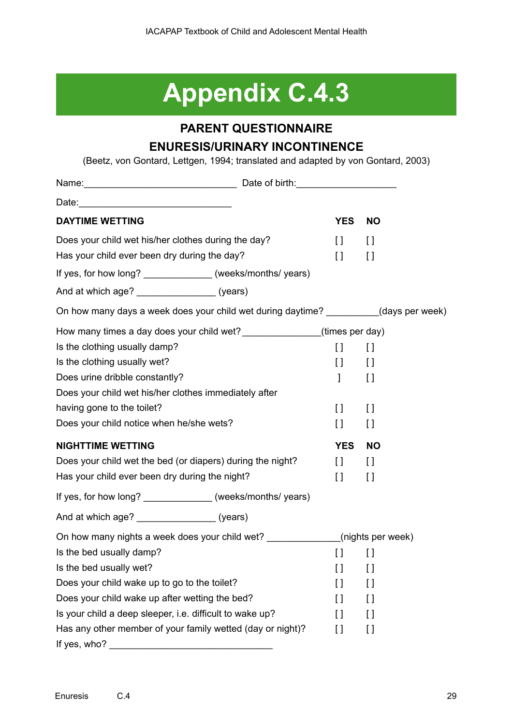# **PARENT QUESTIONNAIRE**

## **ENURESIS/URINARY INCONTINENCE** (Beetz, von Gontard, Lettgen, 1994; translated and adapted by von Gontard, 2003)

| <b>DAYTIME WETTING</b>                                                               | <b>YES</b>     | <b>NO</b>                              |
|--------------------------------------------------------------------------------------|----------------|----------------------------------------|
| Does your child wet his/her clothes during the day?                                  | $\mathfrak{g}$ | $\mathfrak{g}$                         |
| Has your child ever been dry during the day?                                         | $[ \ ]$        | IJ                                     |
| If yes, for how long? ______________ (weeks/months/ years)                           |                |                                        |
| And at which age? __________________(years)                                          |                |                                        |
| On how many days a week does your child wet during daytime? _________(days per week) |                |                                        |
| How many times a day does your child wet? _______________(times per day)             |                |                                        |
| Is the clothing usually damp?                                                        | $\mathbf{I}$   | $\mathbf{I}$                           |
| Is the clothing usually wet?                                                         | $\Box$         | $\mathfrak{g}$                         |
| Does urine dribble constantly?                                                       | 1              | $\mathfrak{g}$                         |
| Does your child wet his/her clothes immediately after                                |                |                                        |
| having gone to the toilet?                                                           | $\mathfrak{g}$ | $\left[ \ \right]$                     |
| Does your child notice when he/she wets?                                             | []             | IJ                                     |
| <b>NIGHTTIME WETTING</b>                                                             | <b>YES</b>     | <b>NO</b>                              |
| Does your child wet the bed (or diapers) during the night?                           | $\Box$         | $\begin{array}{c} \square \end{array}$ |
| Has your child ever been dry during the night?                                       | $\mathfrak{g}$ | $\left[ \ \right]$                     |
| If yes, for how long? ______________ (weeks/months/ years)                           |                |                                        |
| And at which age? _________________(years)                                           |                |                                        |
| On how many nights a week does your child wet? ______________(nights per week)       |                |                                        |
| Is the bed usually damp?                                                             |                | $\begin{bmatrix} 1 \\ 0 \end{bmatrix}$ |
| Is the bed usually wet?                                                              | []             | IJ                                     |
| Does your child wake up to go to the toilet?                                         | []             | $\mathfrak l$                          |
| Does your child wake up after wetting the bed?                                       | []             | $\left[\right]$                        |
| Is your child a deep sleeper, i.e. difficult to wake up?                             | []             | $\mathfrak{g}$                         |
| Has any other member of your family wetted (day or night)?                           | []             | $\left[\right]$                        |
| If yes, who?                                                                         |                |                                        |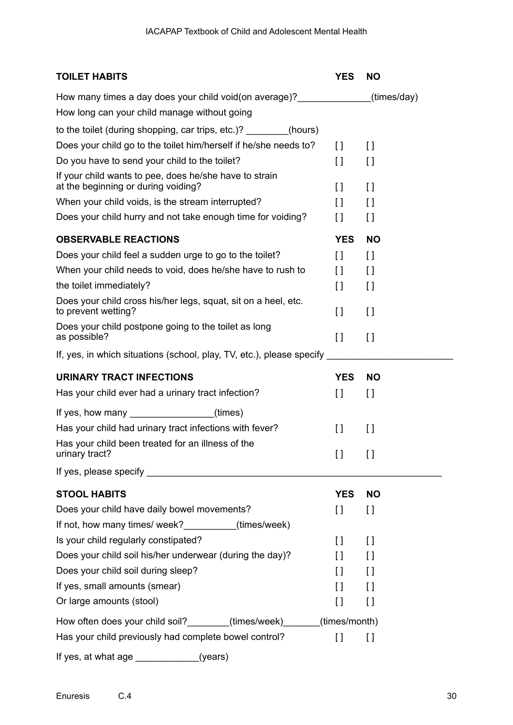| <b>TOILET HABITS</b>                                                                          | <b>YES</b>                             | <b>NO</b>                              |
|-----------------------------------------------------------------------------------------------|----------------------------------------|----------------------------------------|
| How many times a day does your child void(on average)?                                        |                                        | (times/day)                            |
| How long can your child manage without going                                                  |                                        |                                        |
| to the toilet (during shopping, car trips, etc.)? (hours)                                     |                                        |                                        |
| Does your child go to the toilet him/herself if he/she needs to?                              | $\mathbf{I}$                           | $\begin{array}{c} \square \end{array}$ |
| Do you have to send your child to the toilet?                                                 | $\left[\right]$                        | IJ                                     |
| If your child wants to pee, does he/she have to strain<br>at the beginning or during voiding? | $\mathbf{I}$                           | $\mathbf{I}$                           |
| When your child voids, is the stream interrupted?                                             | $\left[\right]$                        | IJ                                     |
| Does your child hurry and not take enough time for voiding?                                   | $\mathfrak{g}$                         | $\mathfrak{g}$                         |
| <b>OBSERVABLE REACTIONS</b>                                                                   | <b>YES</b>                             | <b>NO</b>                              |
| Does your child feel a sudden urge to go to the toilet?                                       | $\left[\right]$                        | I l                                    |
| When your child needs to void, does he/she have to rush to                                    | $\mathfrak l$                          | $\begin{array}{c} \square \end{array}$ |
| the toilet immediately?                                                                       | $\mathfrak{g}$                         | $\mathfrak l$                          |
| Does your child cross his/her legs, squat, sit on a heel, etc.<br>to prevent wetting?         | $\mathfrak{g}$                         | $\mathfrak l$ ]                        |
| Does your child postpone going to the toilet as long<br>as possible?                          | $\mathfrak{g}$                         | $\mathbf{I}$                           |
| If, yes, in which situations (school, play, TV, etc.), please specify                         |                                        |                                        |
|                                                                                               |                                        |                                        |
| <b>URINARY TRACT INFECTIONS</b>                                                               | <b>YES</b>                             | <b>NO</b>                              |
| Has your child ever had a urinary tract infection?                                            | $\begin{array}{c} \square \end{array}$ | I.                                     |
| (times)                                                                                       |                                        |                                        |
| Has your child had urinary tract infections with fever?                                       | $\mathbf{I}$                           | $\left[ \ \right]$                     |
| Has your child been treated for an illness of the<br>urinary tract?                           | $\Box$                                 | $\mathbf{I}$                           |
|                                                                                               |                                        |                                        |
| <b>STOOL HABITS</b>                                                                           | <b>YES</b>                             | <b>NO</b>                              |
| Does your child have daily bowel movements?                                                   | $\mathfrak{g}$                         | IJ                                     |
| If not, how many times/week? __________(times/week)                                           |                                        |                                        |
| Is your child regularly constipated?                                                          | $\mathfrak{g}$                         | $\mathfrak l$                          |
| Does your child soil his/her underwear (during the day)?                                      | $\Box$                                 | $\Box$                                 |
| Does your child soil during sleep?                                                            | $\Box$                                 | $\mathfrak l$                          |
| If yes, small amounts (smear)                                                                 | $\mathbf{I}$                           | IJ                                     |
| Or large amounts (stool)                                                                      | $\left[\right]$                        | $\mathfrak{g}$                         |
| How often does your child soil?_______(times/week)______(times/month)                         |                                        |                                        |
| Has your child previously had complete bowel control?                                         | $\mathfrak{g}$                         | IJ                                     |

Enuresis C.4 30 C.4 30 C.4 30 C.4 30 C.4 30 C.4 30 C.4 30 C.4 30 C.4 30 C.4 30 C.4 30 C.4 30 C.4 30 C.4 30 C.4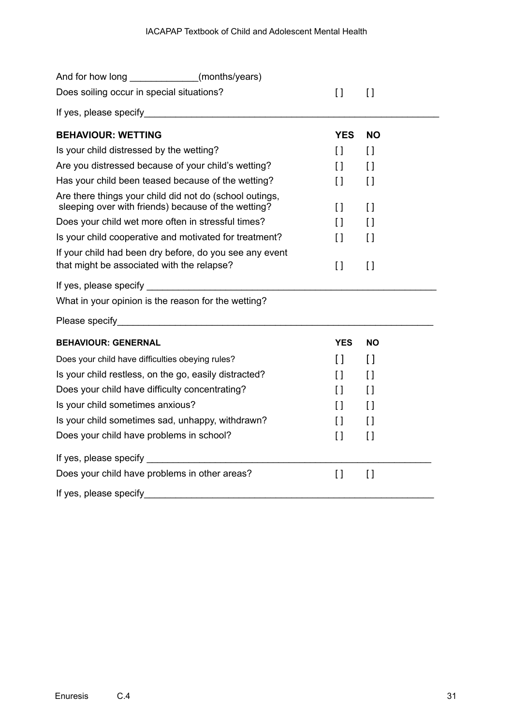| And for how long ______________(months/years)                                                                                                                                                                                       |                 |                    |
|-------------------------------------------------------------------------------------------------------------------------------------------------------------------------------------------------------------------------------------|-----------------|--------------------|
| Does soiling occur in special situations?                                                                                                                                                                                           | $\mathbf{I}$    | $\left[\right]$    |
|                                                                                                                                                                                                                                     |                 |                    |
| <b>BEHAVIOUR: WETTING</b>                                                                                                                                                                                                           | <b>YES</b>      | <b>NO</b>          |
| Is your child distressed by the wetting?                                                                                                                                                                                            | $\lceil$        | $\Box$             |
| Are you distressed because of your child's wetting?                                                                                                                                                                                 | $\lceil$        | $\mathbf{I}$       |
| Has your child been teased because of the wetting?                                                                                                                                                                                  | $\Box$          | $\mathbf{I}$       |
| Are there things your child did not do (school outings,<br>sleeping over with friends) because of the wetting?                                                                                                                      | $\lceil$        | $\left[\right]$    |
| Does your child wet more often in stressful times?                                                                                                                                                                                  | $\Box$          | $\mathfrak{g}$     |
| Is your child cooperative and motivated for treatment?                                                                                                                                                                              | $\mathfrak{g}$  | $\mathbf{I}$       |
| If your child had been dry before, do you see any event<br>that might be associated with the relapse?                                                                                                                               | $\lbrack$       | $\mathbf{I}$       |
| If yes, please specify <b>Source and Source Allengers</b> of the set of the set of the set of the set of the set of the set of the set of the set of the set of the set of the set of the set of the set of the set of the set of t |                 |                    |
|                                                                                                                                                                                                                                     |                 |                    |
| What in your opinion is the reason for the wetting?                                                                                                                                                                                 |                 |                    |
| Please specify <b>Example 2018 Contract Contract Contract Contract Contract Contract Contract Contract Contract Contract Contract Contract Contract Contract Contract Contract Contract Contract Contract Contract Contract Co</b>  |                 |                    |
| <b>BEHAVIOUR: GENERNAL</b>                                                                                                                                                                                                          | <b>YES</b>      | <b>NO</b>          |
| Does your child have difficulties obeying rules?                                                                                                                                                                                    | $\left[\right]$ | $\lceil$ $\rceil$  |
| Is your child restless, on the go, easily distracted?                                                                                                                                                                               | $\lceil$        | $\lceil$           |
| Does your child have difficulty concentrating?                                                                                                                                                                                      | $\Box$          | $\left[ \ \right]$ |
| Is your child sometimes anxious?                                                                                                                                                                                                    | $\lceil$        | $\lceil$           |
| Is your child sometimes sad, unhappy, withdrawn?                                                                                                                                                                                    | $\lceil$        | $\lceil$           |
| Does your child have problems in school?                                                                                                                                                                                            | $\mathfrak{g}$  | $\left[\right]$    |
| If yes, please specify <b>the contract of yes</b>                                                                                                                                                                                   |                 |                    |
| Does your child have problems in other areas?                                                                                                                                                                                       | $\lbrack$       | $\lbrack$          |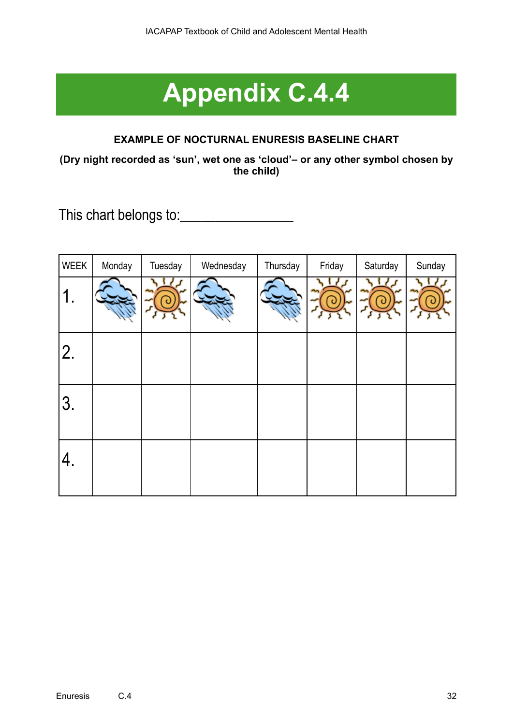# **EXAMPLE OF NOCTURNAL ENURESIS BASELINE CHART**

**(Dry night recorded as 'sun', wet one as 'cloud'– or any other symbol chosen by the child)**

This chart belongs to:\_\_\_\_\_\_\_\_\_\_\_\_\_\_\_\_

| WEEK | Monday | Tuesday | Wednesday | Thursday | Friday | Saturday | Sunday   |
|------|--------|---------|-----------|----------|--------|----------|----------|
|      |        | O       |           |          | O      | O        | <b>U</b> |
| 2.   |        |         |           |          |        |          |          |
| 3.   |        |         |           |          |        |          |          |
| 4.   |        |         |           |          |        |          |          |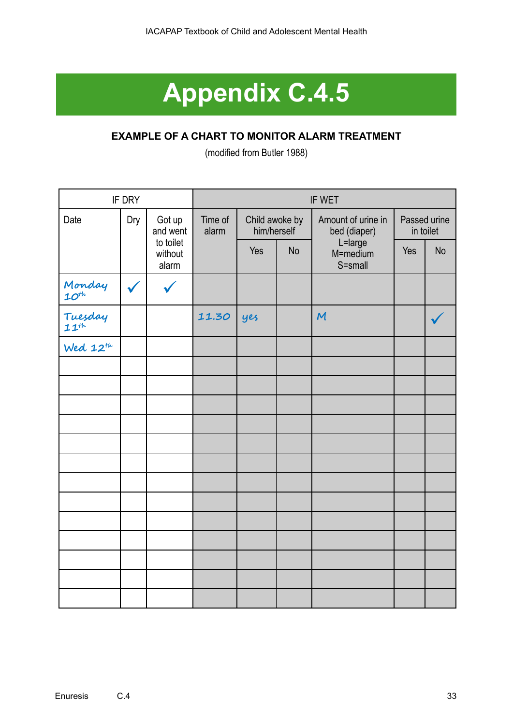# **EXAMPLE OF A CHART TO MONITOR ALARM TREATMENT**

(modified from Butler 1988)

|                                                           | IF DRY       |                               | IF WET           |                               |           |                                    |                           |           |
|-----------------------------------------------------------|--------------|-------------------------------|------------------|-------------------------------|-----------|------------------------------------|---------------------------|-----------|
| Date                                                      | Dry          | Got up<br>and went            | Time of<br>alarm | Child awoke by<br>him/herself |           | Amount of urine in<br>bed (diaper) | Passed urine<br>in toilet |           |
|                                                           |              | to toilet<br>without<br>alarm |                  | Yes                           | <b>No</b> | L=large<br>M=medium<br>S=small     | Yes                       | <b>No</b> |
| Monday<br>10 <sup>th</sup><br>Tuesday<br>11 <sup>th</sup> | $\checkmark$ |                               |                  |                               |           |                                    |                           |           |
|                                                           |              |                               | 11.30            | yes                           |           | M                                  |                           |           |
| Wed $12^{th}$                                             |              |                               |                  |                               |           |                                    |                           |           |
|                                                           |              |                               |                  |                               |           |                                    |                           |           |
|                                                           |              |                               |                  |                               |           |                                    |                           |           |
|                                                           |              |                               |                  |                               |           |                                    |                           |           |
|                                                           |              |                               |                  |                               |           |                                    |                           |           |
|                                                           |              |                               |                  |                               |           |                                    |                           |           |
|                                                           |              |                               |                  |                               |           |                                    |                           |           |
|                                                           |              |                               |                  |                               |           |                                    |                           |           |
|                                                           |              |                               |                  |                               |           |                                    |                           |           |
|                                                           |              |                               |                  |                               |           |                                    |                           |           |
|                                                           |              |                               |                  |                               |           |                                    |                           |           |
|                                                           |              |                               |                  |                               |           |                                    |                           |           |
|                                                           |              |                               |                  |                               |           |                                    |                           |           |
|                                                           |              |                               |                  |                               |           |                                    |                           |           |